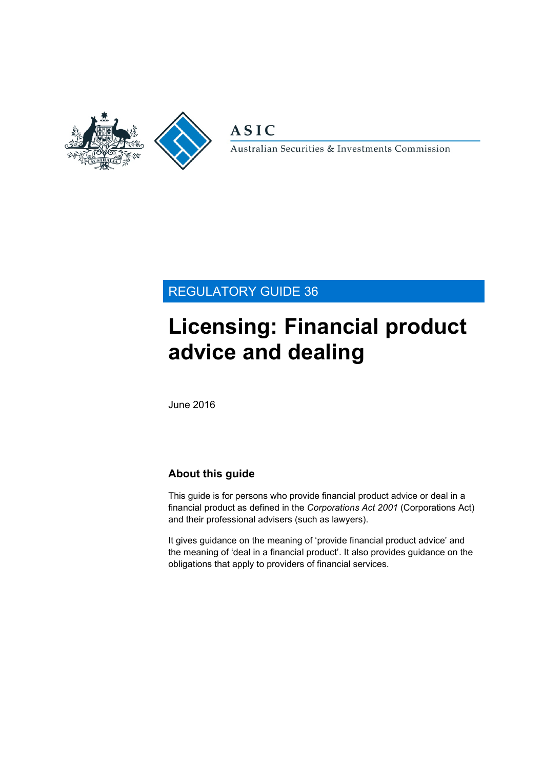

**ASIC** 

Australian Securities & Investments Commission

# REGULATORY GUIDE 36

# **Licensing: Financial product advice and dealing**

June 2016

# **About this guide**

This guide is for persons who provide financial product advice or deal in a financial product as defined in the *Corporations Act 2001* (Corporations Act) and their professional advisers (such as lawyers).

It gives guidance on the meaning of 'provide financial product advice' and the meaning of 'deal in a financial product'. It also provides guidance on the obligations that apply to providers of financial services.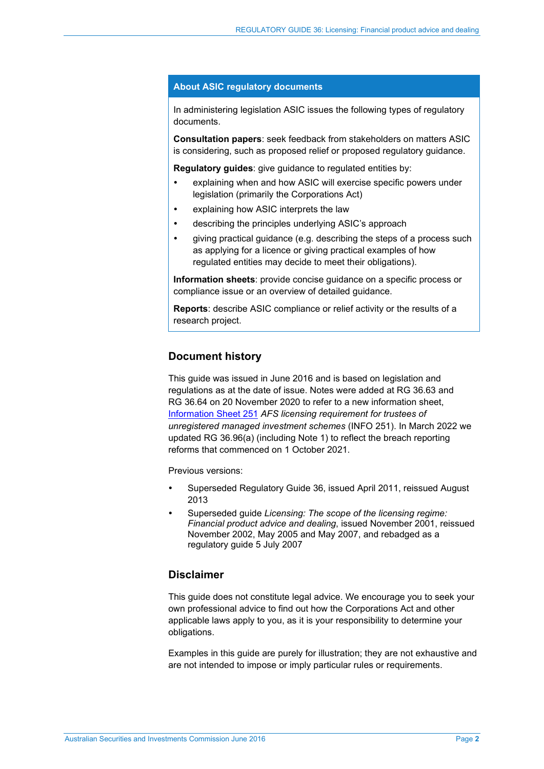#### **About ASIC regulatory documents**

In administering legislation ASIC issues the following types of regulatory documents.

**Consultation papers**: seek feedback from stakeholders on matters ASIC is considering, such as proposed relief or proposed regulatory guidance.

**Regulatory guides:** give guidance to regulated entities by:

- explaining when and how ASIC will exercise specific powers under legislation (primarily the Corporations Act)
- explaining how ASIC interprets the law
- describing the principles underlying ASIC's approach
- giving practical guidance (e.g. describing the steps of a process such as applying for a licence or giving practical examples of how regulated entities may decide to meet their obligations).

**Information sheets**: provide concise guidance on a specific process or compliance issue or an overview of detailed guidance.

**Reports**: describe ASIC compliance or relief activity or the results of a research project.

### **Document history**

This guide was issued in June 2016 and is based on legislation and regulations as at the date of issue. Notes were added at RG [36.63](#page-26-0) and RG [36.64](#page-26-1) on 20 November 2020 to refer to a new information sheet, [Information Sheet 251](http://asic.gov.au/for-finance-professionals/afs-licensees/applying-for-and-managing-an-afs-licence/licensing-certain-service-providers/afs-licensing-requirement-for-trustees-of-unregistered-managed-investment-schemes/) *AFS licensing requirement for trustees of unregistered managed investment schemes* (INFO 251). In March 2022 we updated RG [36.96\(a\)](#page-33-0) (including Note 1) to reflect the breach reporting reforms that commenced on 1 October 2021.

Previous versions:

- Superseded Regulatory Guide 36, issued April 2011, reissued August 2013
- Superseded guide *Licensing: The scope of the licensing regime: Financial product advice and dealing*, issued November 2001, reissued November 2002, May 2005 and May 2007, and rebadged as a regulatory guide 5 July 2007

### **Disclaimer**

This guide does not constitute legal advice. We encourage you to seek your own professional advice to find out how the Corporations Act and other applicable laws apply to you, as it is your responsibility to determine your obligations.

Examples in this guide are purely for illustration; they are not exhaustive and are not intended to impose or imply particular rules or requirements.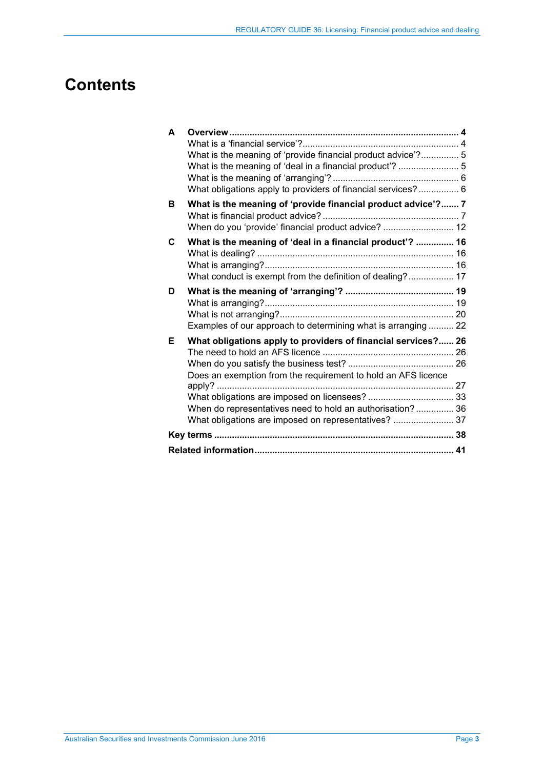# **Contents**

| A |                                                               |  |
|---|---------------------------------------------------------------|--|
|   |                                                               |  |
|   | What is the meaning of 'provide financial product advice'? 5  |  |
|   | What is the meaning of 'deal in a financial product'?  5      |  |
|   |                                                               |  |
|   | What obligations apply to providers of financial services? 6  |  |
| в | What is the meaning of 'provide financial product advice'? 7  |  |
|   | When do you 'provide' financial product advice?  12           |  |
| C | What is the meaning of 'deal in a financial product'?  16     |  |
|   |                                                               |  |
|   |                                                               |  |
|   | What conduct is exempt from the definition of dealing? 17     |  |
| D |                                                               |  |
|   |                                                               |  |
|   |                                                               |  |
|   | Examples of our approach to determining what is arranging  22 |  |
| Е | What obligations apply to providers of financial services? 26 |  |
|   |                                                               |  |
|   |                                                               |  |
|   | Does an exemption from the requirement to hold an AFS licence |  |
|   |                                                               |  |
|   |                                                               |  |
|   | When do representatives need to hold an authorisation? 36     |  |
|   | What obligations are imposed on representatives?  37          |  |
|   |                                                               |  |
|   |                                                               |  |
|   |                                                               |  |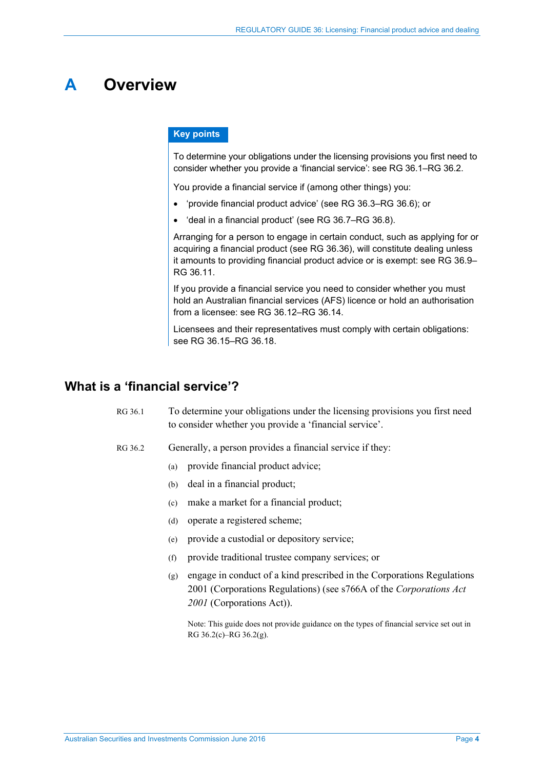# <span id="page-3-0"></span>**A Overview**

### **Key points**

To determine your obligations under the licensing provisions you first need to consider whether you provide a 'financial service': see RG [36.1–](#page-3-2)RG [36.2.](#page-3-3)

You provide a financial service if (among other things) you:

- 'provide financial product advice' (see RG [36.3–](#page-4-2)RG [36.6\)](#page-4-3); or
- 'deal in a financial product' (see RG [36.7–](#page-4-4)RG [36.8\)](#page-4-5).

Arranging for a person to engage in certain conduct, such as applying for or acquiring a financial product (see RG [36.36\)](#page-15-3), will constitute dealing unless it amounts to providing financial product advice or is exempt: see RG [36.9–](#page-5-2) RG [36.11.](#page-5-3)

If you provide a financial service you need to consider whether you must hold an Australian financial services (AFS) licence or hold an authorisation from a licensee: see RG [36.12–](#page-5-4)RG [36.14.](#page-5-5)

Licensees and their representatives must comply with certain obligations: see RG [36.15–](#page-5-6)RG [36.18.](#page-5-7)

# <span id="page-3-3"></span><span id="page-3-2"></span><span id="page-3-1"></span>**What is a 'financial service'?**

- RG 36.1 To determine your obligations under the licensing provisions you first need to consider whether you provide a 'financial service'.
- <span id="page-3-5"></span><span id="page-3-4"></span>RG 36.2 Generally, a person provides a financial service if they:
	- (a) provide financial product advice;
	- (b) deal in a financial product;
	- (c) make a market for a financial product;
	- (d) operate a registered scheme;
	- (e) provide a custodial or depository service;
	- (f) provide traditional trustee company services; or
	- (g) engage in conduct of a kind prescribed in the Corporations Regulations 2001 (Corporations Regulations) (see s766A of the *Corporations Act 2001* (Corporations Act)).

Note: This guide does not provide guidance on the types of financial service set out in [RG 36.2\(c\)](#page-3-4)[–RG 36.2\(g\).](#page-3-5)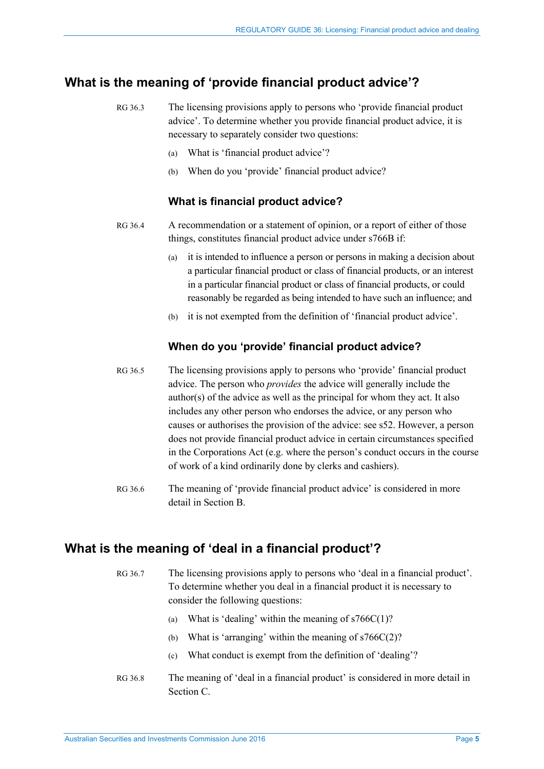# <span id="page-4-2"></span><span id="page-4-0"></span>**What is the meaning of 'provide financial product advice'?**

- RG 36.3 The licensing provisions apply to persons who 'provide financial product advice'. To determine whether you provide financial product advice, it is necessary to separately consider two questions:
	- (a) What is 'financial product advice'?
	- (b) When do you 'provide' financial product advice?

### **What is financial product advice?**

- RG 36.4 A recommendation or a statement of opinion, or a report of either of those things, constitutes financial product advice under s766B if:
	- (a) it is intended to influence a person or persons in making a decision about a particular financial product or class of financial products, or an interest in a particular financial product or class of financial products, or could reasonably be regarded as being intended to have such an influence; and
	- (b) it is not exempted from the definition of 'financial product advice'.

### **When do you 'provide' financial product advice?**

- RG 36.5 The licensing provisions apply to persons who 'provide' financial product advice. The person who *provides* the advice will generally include the author(s) of the advice as well as the principal for whom they act. It also includes any other person who endorses the advice, or any person who causes or authorises the provision of the advice: see s52. However, a person does not provide financial product advice in certain circumstances specified in the Corporations Act (e.g. where the person's conduct occurs in the course of work of a kind ordinarily done by clerks and cashiers).
- <span id="page-4-3"></span>RG 36.6 The meaning of 'provide financial product advice' is considered in more detail in Section [B.](#page-6-0)

# <span id="page-4-4"></span><span id="page-4-1"></span>**What is the meaning of 'deal in a financial product'?**

- RG 36.7 The licensing provisions apply to persons who 'deal in a financial product'. To determine whether you deal in a financial product it is necessary to consider the following questions:
	- (a) What is 'dealing' within the meaning of  $s766C(1)$ ?
	- (b) What is 'arranging' within the meaning of  $s766C(2)$ ?
	- (c) What conduct is exempt from the definition of 'dealing'?
- <span id="page-4-5"></span>RG 36.8 The meaning of 'deal in a financial product' is considered in more detail in Section [C.](#page-15-0)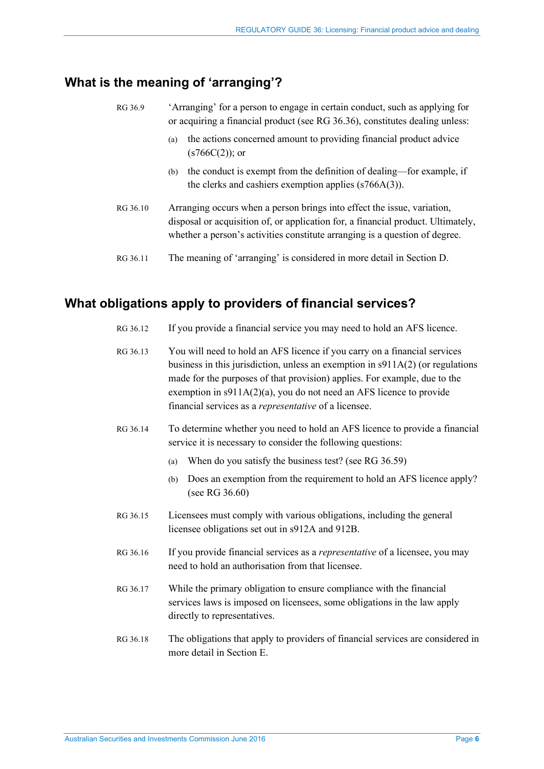# <span id="page-5-2"></span><span id="page-5-0"></span>**What is the meaning of 'arranging'?**

| RG 36.9  | 'Arranging' for a person to engage in certain conduct, such as applying for<br>or acquiring a financial product (see RG 36.36), constitutes dealing unless:                                                                                |  |
|----------|--------------------------------------------------------------------------------------------------------------------------------------------------------------------------------------------------------------------------------------------|--|
|          | the actions concerned amount to providing financial product advice<br>(a)<br>$(s766C(2))$ ; or                                                                                                                                             |  |
|          | the conduct is exempt from the definition of dealing—for example, if<br>(b)<br>the clerks and cashiers exemption applies $(s766A(3))$ .                                                                                                    |  |
| RG 36.10 | Arranging occurs when a person brings into effect the issue, variation,<br>disposal or acquisition of, or application for, a financial product. Ultimately,<br>whether a person's activities constitute arranging is a question of degree. |  |
| RG 36.11 | The meaning of 'arranging' is considered in more detail in Section D.                                                                                                                                                                      |  |

# <span id="page-5-4"></span><span id="page-5-3"></span><span id="page-5-1"></span>**What obligations apply to providers of financial services?**

- RG 36.12 If you provide a financial service you may need to hold an AFS licence.
- RG 36.13 You will need to hold an AFS licence if you carry on a financial services business in this jurisdiction, unless an exemption in s911A(2) (or regulations made for the purposes of that provision) applies. For example, due to the exemption in s911A(2)(a), you do not need an AFS licence to provide financial services as a *representative* of a licensee.
- <span id="page-5-5"></span>RG 36.14 To determine whether you need to hold an AFS licence to provide a financial service it is necessary to consider the following questions:
	- (a) When do you satisfy the business test? (see RG [36.59\)](#page-25-3)
	- (b) Does an exemption from the requirement to hold an AFS licence apply? (see RG [36.60\)](#page-26-3)
- <span id="page-5-6"></span>RG 36.15 Licensees must comply with various obligations, including the general licensee obligations set out in s912A and 912B.
- RG 36.16 If you provide financial services as a *representative* of a licensee, you may need to hold an authorisation from that licensee.
- RG 36.17 While the primary obligation to ensure compliance with the financial services laws is imposed on licensees, some obligations in the law apply directly to representatives.
- <span id="page-5-7"></span>RG 36.18 The obligations that apply to providers of financial services are considered in more detail in Section [E.](#page-25-0)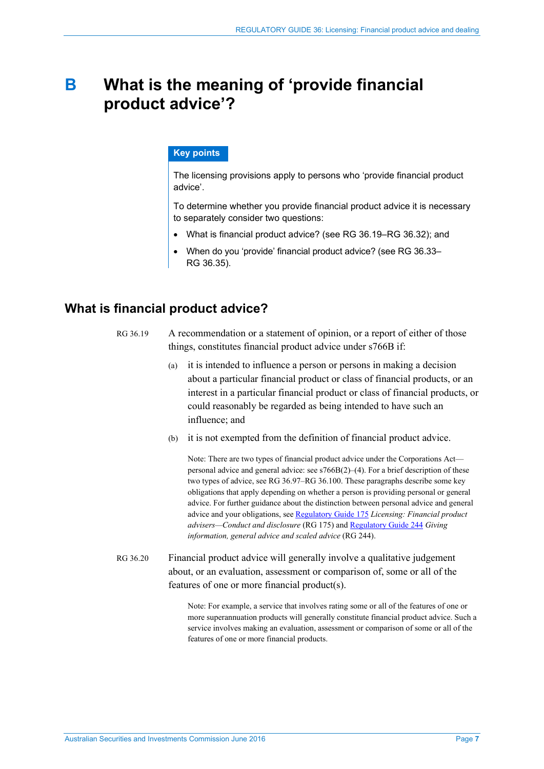# <span id="page-6-0"></span>**B What is the meaning of 'provide financial product advice'?**

#### **Key points**

The licensing provisions apply to persons who 'provide financial product advice'.

To determine whether you provide financial product advice it is necessary to separately consider two questions:

- What is financial product advice? (see RG [36.19–](#page-6-2)RG [36.32\)](#page-10-0); and
- When do you 'provide' financial product advice? (see RG [36.33–](#page-11-1) RG [36.35\)](#page-13-0).

# <span id="page-6-2"></span><span id="page-6-1"></span>**What is financial product advice?**

- RG 36.19 A recommendation or a statement of opinion, or a report of either of those things, constitutes financial product advice under s766B if:
	- (a) it is intended to influence a person or persons in making a decision about a particular financial product or class of financial products, or an interest in a particular financial product or class of financial products, or could reasonably be regarded as being intended to have such an influence; and
	- (b) it is not exempted from the definition of financial product advice.

Note: There are two types of financial product advice under the Corporations Act personal advice and general advice: see s766B(2)–(4). For a brief description of these two types of advice, see [RG 36.97](#page-34-0)[–RG 36.100.](#page-34-1) These paragraphs describe some key obligations that apply depending on whether a person is providing personal or general advice. For further guidance about the distinction between personal advice and general advice and your obligations, se[e Regulatory Guide 175](http://www.asic.gov.au/regulatory-resources/find-a-document/regulatory-guides/rg-175-licensing-financial-product-advisers-conduct-and-disclosure/) *Licensing: Financial product advisers—Conduct and disclosure* (RG 175) and [Regulatory Guide 244](http://www.asic.gov.au/regulatory-resources/find-a-document/regulatory-guides/rg-244-giving-information-general-advice-and-scaled-advice/) *Giving information, general advice and scaled advice* (RG 244).

RG 36.20 Financial product advice will generally involve a qualitative judgement about, or an evaluation, assessment or comparison of, some or all of the features of one or more financial product(s).

> Note: For example, a service that involves rating some or all of the features of one or more superannuation products will generally constitute financial product advice. Such a service involves making an evaluation, assessment or comparison of some or all of the features of one or more financial products.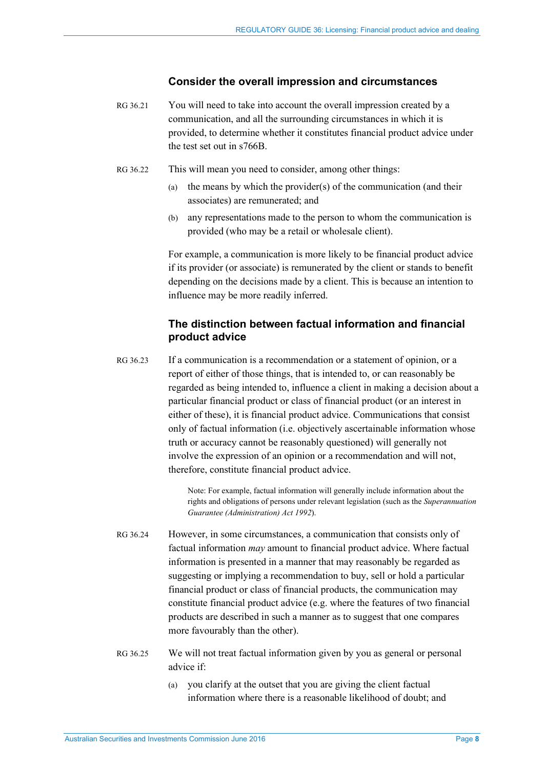#### **Consider the overall impression and circumstances**

- RG 36.21 You will need to take into account the overall impression created by a communication, and all the surrounding circumstances in which it is provided, to determine whether it constitutes financial product advice under the test set out in s766B.
- RG 36.22 This will mean you need to consider, among other things:
	- (a) the means by which the provider(s) of the communication (and their associates) are remunerated; and
	- (b) any representations made to the person to whom the communication is provided (who may be a retail or wholesale client).

For example, a communication is more likely to be financial product advice if its provider (or associate) is remunerated by the client or stands to benefit depending on the decisions made by a client. This is because an intention to influence may be more readily inferred.

## **The distinction between factual information and financial product advice**

<span id="page-7-0"></span>RG 36.23 If a communication is a recommendation or a statement of opinion, or a report of either of those things, that is intended to, or can reasonably be regarded as being intended to, influence a client in making a decision about a particular financial product or class of financial product (or an interest in either of these), it is financial product advice. Communications that consist only of factual information (i.e. objectively ascertainable information whose truth or accuracy cannot be reasonably questioned) will generally not involve the expression of an opinion or a recommendation and will not, therefore, constitute financial product advice.

> Note: For example, factual information will generally include information about the rights and obligations of persons under relevant legislation (such as the *Superannuation Guarantee (Administration) Act 1992*).

- RG 36.24 However, in some circumstances, a communication that consists only of factual information *may* amount to financial product advice. Where factual information is presented in a manner that may reasonably be regarded as suggesting or implying a recommendation to buy, sell or hold a particular financial product or class of financial products, the communication may constitute financial product advice (e.g. where the features of two financial products are described in such a manner as to suggest that one compares more favourably than the other).
- <span id="page-7-1"></span>RG 36.25 We will not treat factual information given by you as general or personal advice if:
	- (a) you clarify at the outset that you are giving the client factual information where there is a reasonable likelihood of doubt; and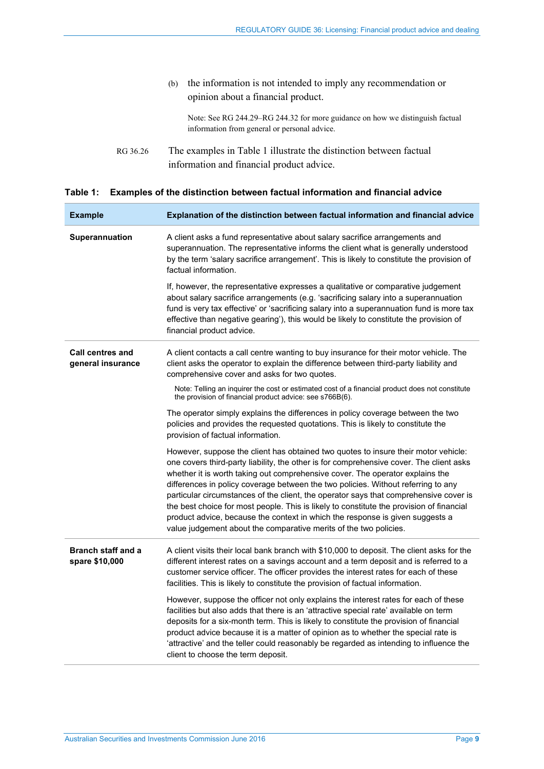|          | the information is not intended to imply any recommendation or<br>(b)<br>opinion about a financial product.                   |
|----------|-------------------------------------------------------------------------------------------------------------------------------|
|          | Note: See RG 244.29–RG 244.32 for more guidance on how we distinguish factual<br>information from general or personal advice. |
| RG 36.26 | The examples in Table 1 illustrate the distinction between factual<br>information and financial product advice.               |

<span id="page-8-0"></span>

|  |  |  |  |  | Table 1: Examples of the distinction between factual information and financial advice |
|--|--|--|--|--|---------------------------------------------------------------------------------------|
|--|--|--|--|--|---------------------------------------------------------------------------------------|

| <b>Example</b>                               | Explanation of the distinction between factual information and financial advice                                                                                                                                                                                                                                                                                                                                                                                                                                                                                                                                                                                                                |
|----------------------------------------------|------------------------------------------------------------------------------------------------------------------------------------------------------------------------------------------------------------------------------------------------------------------------------------------------------------------------------------------------------------------------------------------------------------------------------------------------------------------------------------------------------------------------------------------------------------------------------------------------------------------------------------------------------------------------------------------------|
| Superannuation                               | A client asks a fund representative about salary sacrifice arrangements and<br>superannuation. The representative informs the client what is generally understood<br>by the term 'salary sacrifice arrangement'. This is likely to constitute the provision of<br>factual information.                                                                                                                                                                                                                                                                                                                                                                                                         |
|                                              | If, however, the representative expresses a qualitative or comparative judgement<br>about salary sacrifice arrangements (e.g. 'sacrificing salary into a superannuation<br>fund is very tax effective' or 'sacrificing salary into a superannuation fund is more tax<br>effective than negative gearing'), this would be likely to constitute the provision of<br>financial product advice.                                                                                                                                                                                                                                                                                                    |
| <b>Call centres and</b><br>general insurance | A client contacts a call centre wanting to buy insurance for their motor vehicle. The<br>client asks the operator to explain the difference between third-party liability and<br>comprehensive cover and asks for two quotes.                                                                                                                                                                                                                                                                                                                                                                                                                                                                  |
|                                              | Note: Telling an inquirer the cost or estimated cost of a financial product does not constitute<br>the provision of financial product advice: see s766B(6).                                                                                                                                                                                                                                                                                                                                                                                                                                                                                                                                    |
|                                              | The operator simply explains the differences in policy coverage between the two<br>policies and provides the requested quotations. This is likely to constitute the<br>provision of factual information.                                                                                                                                                                                                                                                                                                                                                                                                                                                                                       |
|                                              | However, suppose the client has obtained two quotes to insure their motor vehicle:<br>one covers third-party liability, the other is for comprehensive cover. The client asks<br>whether it is worth taking out comprehensive cover. The operator explains the<br>differences in policy coverage between the two policies. Without referring to any<br>particular circumstances of the client, the operator says that comprehensive cover is<br>the best choice for most people. This is likely to constitute the provision of financial<br>product advice, because the context in which the response is given suggests a<br>value judgement about the comparative merits of the two policies. |
| <b>Branch staff and a</b><br>spare \$10,000  | A client visits their local bank branch with \$10,000 to deposit. The client asks for the<br>different interest rates on a savings account and a term deposit and is referred to a<br>customer service officer. The officer provides the interest rates for each of these<br>facilities. This is likely to constitute the provision of factual information.                                                                                                                                                                                                                                                                                                                                    |
|                                              | However, suppose the officer not only explains the interest rates for each of these<br>facilities but also adds that there is an 'attractive special rate' available on term<br>deposits for a six-month term. This is likely to constitute the provision of financial<br>product advice because it is a matter of opinion as to whether the special rate is<br>'attractive' and the teller could reasonably be regarded as intending to influence the<br>client to choose the term deposit.                                                                                                                                                                                                   |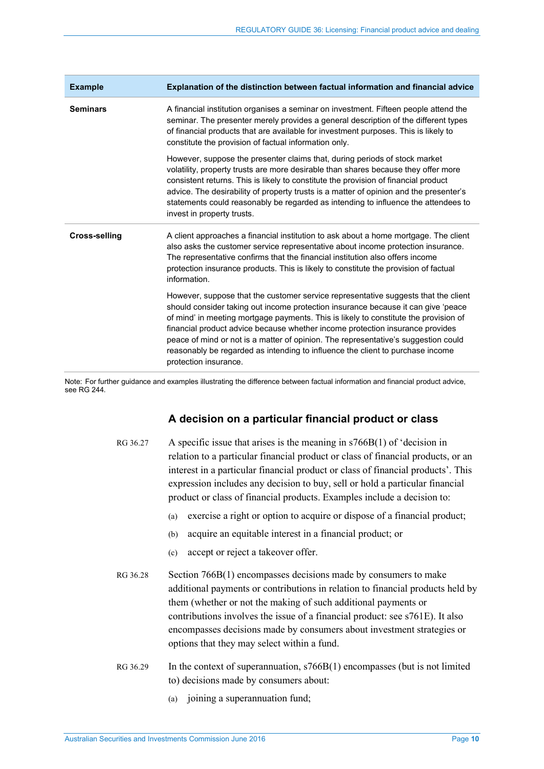| <b>Example</b>       | Explanation of the distinction between factual information and financial advice                                                                                                                                                                                                                                                                                                                                                                                                                                                                   |
|----------------------|---------------------------------------------------------------------------------------------------------------------------------------------------------------------------------------------------------------------------------------------------------------------------------------------------------------------------------------------------------------------------------------------------------------------------------------------------------------------------------------------------------------------------------------------------|
| <b>Seminars</b>      | A financial institution organises a seminar on investment. Fifteen people attend the<br>seminar. The presenter merely provides a general description of the different types<br>of financial products that are available for investment purposes. This is likely to<br>constitute the provision of factual information only.                                                                                                                                                                                                                       |
|                      | However, suppose the presenter claims that, during periods of stock market<br>volatility, property trusts are more desirable than shares because they offer more<br>consistent returns. This is likely to constitute the provision of financial product<br>advice. The desirability of property trusts is a matter of opinion and the presenter's<br>statements could reasonably be regarded as intending to influence the attendees to<br>invest in property trusts.                                                                             |
| <b>Cross-selling</b> | A client approaches a financial institution to ask about a home mortgage. The client<br>also asks the customer service representative about income protection insurance.<br>The representative confirms that the financial institution also offers income<br>protection insurance products. This is likely to constitute the provision of factual<br>information.                                                                                                                                                                                 |
|                      | However, suppose that the customer service representative suggests that the client<br>should consider taking out income protection insurance because it can give 'peace<br>of mind' in meeting mortgage payments. This is likely to constitute the provision of<br>financial product advice because whether income protection insurance provides<br>peace of mind or not is a matter of opinion. The representative's suggestion could<br>reasonably be regarded as intending to influence the client to purchase income<br>protection insurance. |

Note: For further guidance and examples illustrating the difference between factual information and financial product advice, see RG 244.

## **A decision on a particular financial product or class**

- RG 36.27 A specific issue that arises is the meaning in s766B(1) of 'decision in relation to a particular financial product or class of financial products, or an interest in a particular financial product or class of financial products'. This expression includes any decision to buy, sell or hold a particular financial product or class of financial products. Examples include a decision to:
	- (a) exercise a right or option to acquire or dispose of a financial product;
	- (b) acquire an equitable interest in a financial product; or
	- (c) accept or reject a takeover offer.
- RG 36.28 Section 766B(1) encompasses decisions made by consumers to make additional payments or contributions in relation to financial products held by them (whether or not the making of such additional payments or contributions involves the issue of a financial product: see s761E). It also encompasses decisions made by consumers about investment strategies or options that they may select within a fund.
- RG 36.29 In the context of superannuation, s766B(1) encompasses (but is not limited to) decisions made by consumers about:
	- (a) joining a superannuation fund;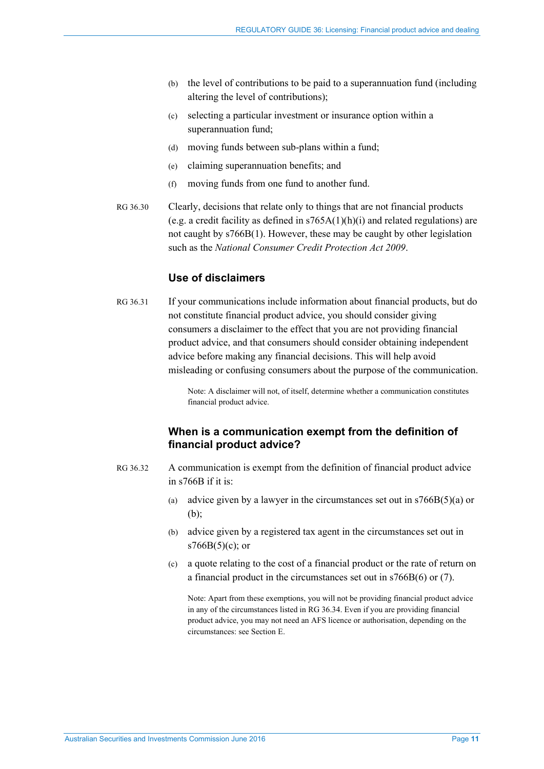- (b) the level of contributions to be paid to a superannuation fund (including altering the level of contributions);
- (c) selecting a particular investment or insurance option within a superannuation fund;
- (d) moving funds between sub-plans within a fund;
- (e) claiming superannuation benefits; and
- (f) moving funds from one fund to another fund.
- RG 36.30 Clearly, decisions that relate only to things that are not financial products (e.g. a credit facility as defined in  $s765A(1)(h)(i)$  and related regulations) are not caught by s766B(1). However, these may be caught by other legislation such as the *National Consumer Credit Protection Act 2009*.

## **Use of disclaimers**

RG 36.31 If your communications include information about financial products, but do not constitute financial product advice, you should consider giving consumers a disclaimer to the effect that you are not providing financial product advice, and that consumers should consider obtaining independent advice before making any financial decisions. This will help avoid misleading or confusing consumers about the purpose of the communication.

> Note: A disclaimer will not, of itself, determine whether a communication constitutes financial product advice.

## **When is a communication exempt from the definition of financial product advice?**

- <span id="page-10-0"></span>RG 36.32 A communication is exempt from the definition of financial product advice in s766B if it is:
	- (a) advice given by a lawyer in the circumstances set out in  $s766B(5)(a)$  or (b);
	- (b) advice given by a registered tax agent in the circumstances set out in s766B(5)(c); or
	- (c) a quote relating to the cost of a financial product or the rate of return on a financial product in the circumstances set out in s766B(6) or (7).

Note: Apart from these exemptions, you will not be providing financial product advice in any of the circumstances listed in RG [36.34.](#page-11-2) Even if you are providing financial product advice, you may not need an AFS licence or authorisation, depending on the circumstances: see Section [E.](#page-25-0)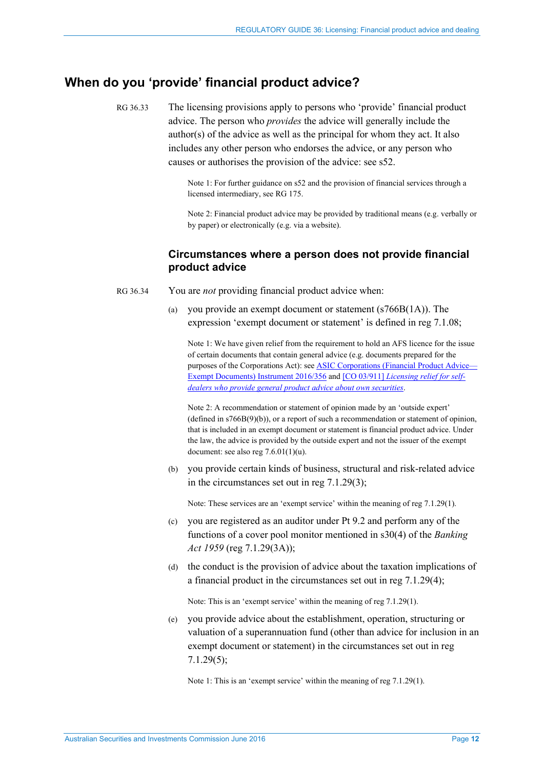# <span id="page-11-1"></span><span id="page-11-0"></span>**When do you 'provide' financial product advice?**

RG 36.33 The licensing provisions apply to persons who 'provide' financial product advice. The person who *provides* the advice will generally include the author(s) of the advice as well as the principal for whom they act. It also includes any other person who endorses the advice, or any person who causes or authorises the provision of the advice: see s52.

> Note 1: For further guidance on s52 and the provision of financial services through a licensed intermediary, see RG 175.

Note 2: Financial product advice may be provided by traditional means (e.g. verbally or by paper) or electronically (e.g. via a website).

## **Circumstances where a person does not provide financial product advice**

- <span id="page-11-2"></span>RG 36.34 You are *not* providing financial product advice when:
	- (a) you provide an exempt document or statement (s766B(1A)). The expression 'exempt document or statement' is defined in reg 7.1.08;

Note 1: We have given relief from the requirement to hold an AFS licence for the issue of certain documents that contain general advice (e.g. documents prepared for the purposes of the Corporations Act): se[e ASIC Corporations \(Financial Product Advice—](http://www.asic.gov.au/regulatory-resources/find-a-document/class-orders/2016-legislative-instruments/) [Exempt Documents\) Instrument 2016/356](http://www.asic.gov.au/regulatory-resources/find-a-document/class-orders/2016-legislative-instruments/) and [CO 03/911] *[Licensing relief for self](https://www.legislation.gov.au/Details/F2007B00377)[dealers who provide general product advice about own securities](https://www.legislation.gov.au/Details/F2007B00377)*.

Note 2: A recommendation or statement of opinion made by an 'outside expert' (defined in s766B(9)(b)), or a report of such a recommendation or statement of opinion, that is included in an exempt document or statement is financial product advice. Under the law, the advice is provided by the outside expert and not the issuer of the exempt document: see also reg  $7.6.01(1)(u)$ .

(b) you provide certain kinds of business, structural and risk-related advice in the circumstances set out in reg 7.1.29(3);

Note: These services are an 'exempt service' within the meaning of reg 7.1.29(1).

- (c) you are registered as an auditor under Pt 9.2 and perform any of the functions of a cover pool monitor mentioned in s30(4) of the *Banking Act 1959* (reg 7.1.29(3A));
- (d) the conduct is the provision of advice about the taxation implications of a financial product in the circumstances set out in reg 7.1.29(4);

Note: This is an 'exempt service' within the meaning of reg 7.1.29(1).

(e) you provide advice about the establishment, operation, structuring or valuation of a superannuation fund (other than advice for inclusion in an exempt document or statement) in the circumstances set out in reg 7.1.29(5);

Note 1: This is an 'exempt service' within the meaning of reg 7.1.29(1).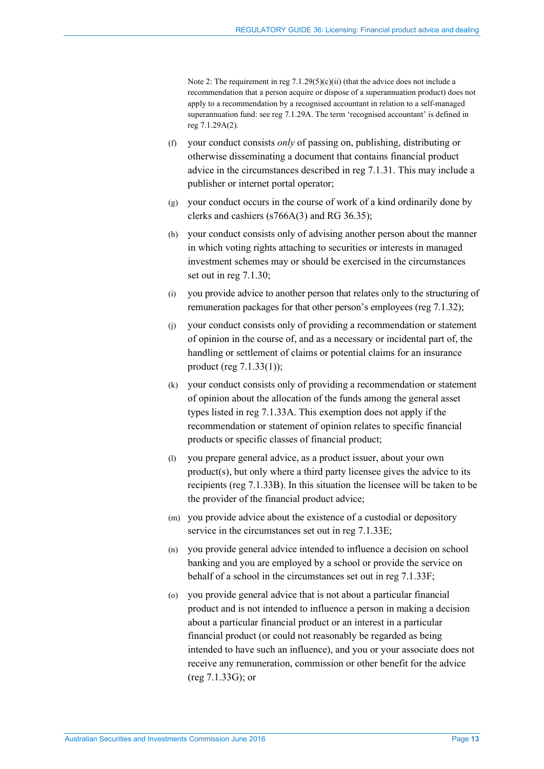Note 2: The requirement in reg 7.1.29(5)(c)(ii) (that the advice does not include a recommendation that a person acquire or dispose of a superannuation product) does not apply to a recommendation by a recognised accountant in relation to a self-managed superannuation fund: see reg 7.1.29A. The term 'recognised accountant' is defined in reg 7.1.29A(2).

- (f) your conduct consists *only* of passing on, publishing, distributing or otherwise disseminating a document that contains financial product advice in the circumstances described in reg 7.1.31. This may include a publisher or internet portal operator;
- (g) your conduct occurs in the course of work of a kind ordinarily done by clerks and cashiers (s766A(3) and RG [36.35\)](#page-13-0);
- (h) your conduct consists only of advising another person about the manner in which voting rights attaching to securities or interests in managed investment schemes may or should be exercised in the circumstances set out in reg 7.1.30;
- (i) you provide advice to another person that relates only to the structuring of remuneration packages for that other person's employees (reg 7.1.32);
- (j) your conduct consists only of providing a recommendation or statement of opinion in the course of, and as a necessary or incidental part of, the handling or settlement of claims or potential claims for an insurance product (reg 7.1.33(1));
- (k) your conduct consists only of providing a recommendation or statement of opinion about the allocation of the funds among the general asset types listed in reg 7.1.33A. This exemption does not apply if the recommendation or statement of opinion relates to specific financial products or specific classes of financial product;
- (l) you prepare general advice, as a product issuer, about your own product(s), but only where a third party licensee gives the advice to its recipients (reg 7.1.33B). In this situation the licensee will be taken to be the provider of the financial product advice;
- (m) you provide advice about the existence of a custodial or depository service in the circumstances set out in reg 7.1.33E;
- (n) you provide general advice intended to influence a decision on school banking and you are employed by a school or provide the service on behalf of a school in the circumstances set out in reg 7.1.33F;
- (o) you provide general advice that is not about a particular financial product and is not intended to influence a person in making a decision about a particular financial product or an interest in a particular financial product (or could not reasonably be regarded as being intended to have such an influence), and you or your associate does not receive any remuneration, commission or other benefit for the advice (reg 7.1.33G); or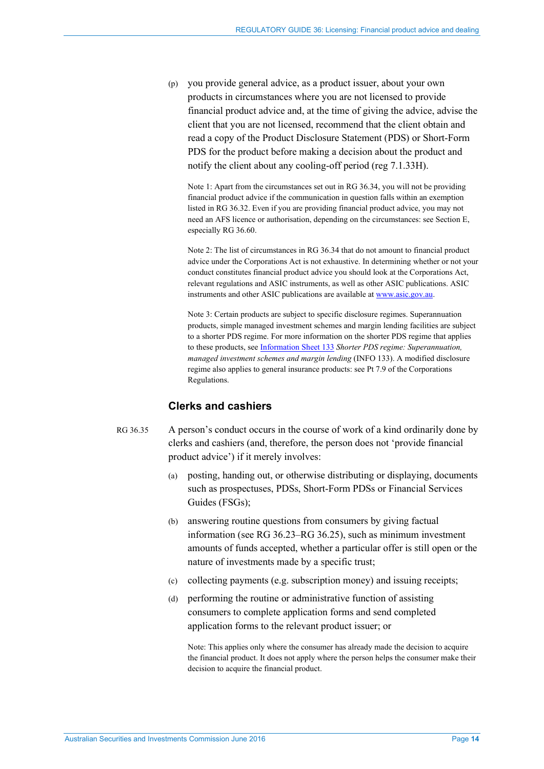(p) you provide general advice, as a product issuer, about your own products in circumstances where you are not licensed to provide financial product advice and, at the time of giving the advice, advise the client that you are not licensed, recommend that the client obtain and read a copy of the Product Disclosure Statement (PDS) or Short-Form PDS for the product before making a decision about the product and notify the client about any cooling-off period (reg 7.1.33H).

Note 1: Apart from the circumstances set out in [RG 36.34,](#page-11-2) you will not be providing financial product advice if the communication in question falls within an exemption listed i[n RG 36.32.](#page-10-0) Even if you are providing financial product advice, you may not need an AFS licence or authorisation, depending on the circumstances: see Section [E,](#page-25-0) especially [RG 36.60.](#page-26-3)

Note 2: The list of circumstances in [RG 36.34](#page-11-2) that do not amount to financial product advice under the Corporations Act is not exhaustive. In determining whether or not your conduct constitutes financial product advice you should look at the Corporations Act, relevant regulations and ASIC instruments, as well as other ASIC publications. ASIC instruments and other ASIC publications are available a[t www.asic.gov.au.](http://www.asic.gov.au/)

Note 3: Certain products are subject to specific disclosure regimes. Superannuation products, simple managed investment schemes and margin lending facilities are subject to a shorter PDS regime. For more information on the shorter PDS regime that applies to these products, see [Information Sheet 133](http://www.asic.gov.au/regulatory-resources/financial-services/financial-product-disclosure/shorter-pds-regime-superannuation-managed-investment-schemes-and-margin-lending/) *Shorter PDS regime: Superannuation, managed investment schemes and margin lending* (INFO 133). A modified disclosure regime also applies to general insurance products: see Pt 7.9 of the Corporations Regulations.

## **Clerks and cashiers**

## <span id="page-13-0"></span>RG 36.35 A person's conduct occurs in the course of work of a kind ordinarily done by clerks and cashiers (and, therefore, the person does not 'provide financial product advice') if it merely involves:

- (a) posting, handing out, or otherwise distributing or displaying, documents such as prospectuses, PDSs, Short-Form PDSs or Financial Services Guides (FSGs);
- (b) answering routine questions from consumers by giving factual information (se[e RG 36.23–](#page-7-0)[RG 36.25\)](#page-7-1), such as minimum investment amounts of funds accepted, whether a particular offer is still open or the nature of investments made by a specific trust;
- (c) collecting payments (e.g. subscription money) and issuing receipts;
- (d) performing the routine or administrative function of assisting consumers to complete application forms and send completed application forms to the relevant product issuer; or

Note: This applies only where the consumer has already made the decision to acquire the financial product. It does not apply where the person helps the consumer make their decision to acquire the financial product.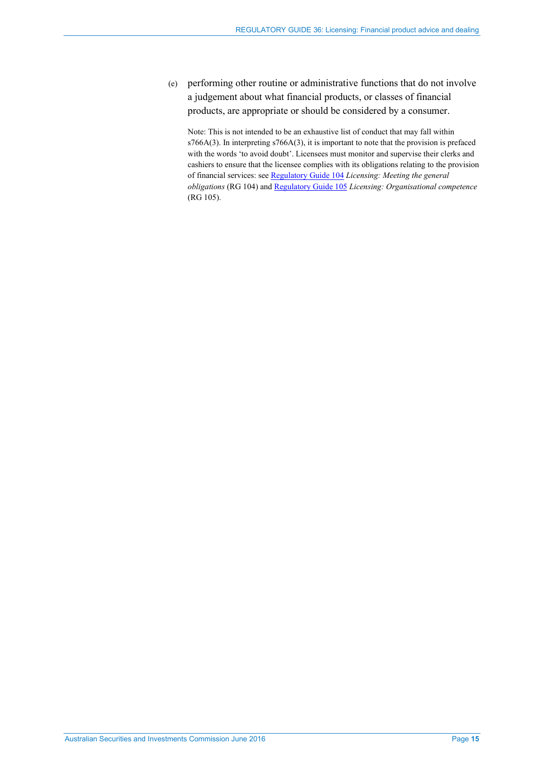(e) performing other routine or administrative functions that do not involve a judgement about what financial products, or classes of financial products, are appropriate or should be considered by a consumer.

Note: This is not intended to be an exhaustive list of conduct that may fall within s766A(3). In interpreting s766A(3), it is important to note that the provision is prefaced with the words 'to avoid doubt'. Licensees must monitor and supervise their clerks and cashiers to ensure that the licensee complies with its obligations relating to the provision of financial services: se[e Regulatory Guide 104](http://www.asic.gov.au/regulatory-resources/find-a-document/regulatory-guides/rg-104-licensing-meeting-the-general-obligations/) *Licensing: Meeting the general obligations* (RG 104) and [Regulatory Guide 105](http://www.asic.gov.au/regulatory-resources/find-a-document/regulatory-guides/rg-105-licensing-organisational-competence/) *Licensing: Organisational competence* (RG 105).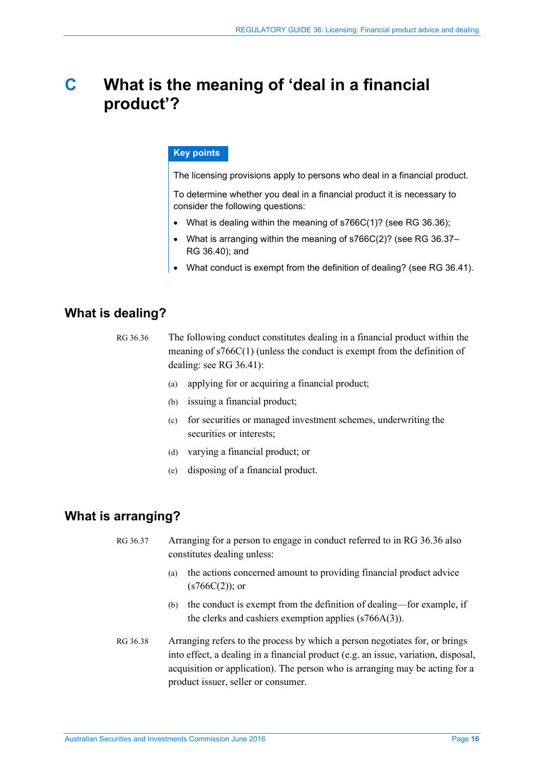# <span id="page-15-0"></span>**C What is the meaning of 'deal in a financial product'?**

### **Key points**

The licensing provisions apply to persons who deal in a financial product.

To determine whether you deal in a financial product it is necessary to consider the following questions:

- What is dealing within the meaning of s766C(1)? (see RG [36.36\)](#page-15-3);
- What is arranging within the meaning of s766C(2)? (see RG [36.37–](#page-15-4) RG [36.40\)](#page-16-1); and
- What conduct is exempt from the definition of dealing? (see RG [36.41\)](#page-16-2).

# <span id="page-15-3"></span><span id="page-15-1"></span>**What is dealing?**

- RG 36.36 The following conduct constitutes dealing in a financial product within the meaning of s766C(1) (unless the conduct is exempt from the definition of dealing: see [RG 36.41\)](#page-16-2):
	- (a) applying for or acquiring a financial product;
	- (b) issuing a financial product;
	- (c) for securities or managed investment schemes, underwriting the securities or interests;
	- (d) varying a financial product; or
	- (e) disposing of a financial product.

# <span id="page-15-4"></span><span id="page-15-2"></span>**What is arranging?**

RG 36.37 Arranging for a person to engage in conduct referred to in [RG 36.36](#page-15-3) also constitutes dealing unless:

- (a) the actions concerned amount to providing financial product advice  $(s766C(2))$ ; or
- (b) the conduct is exempt from the definition of dealing—for example, if the clerks and cashiers exemption applies (s766A(3)).
- RG 36.38 Arranging refers to the process by which a person negotiates for, or brings into effect, a dealing in a financial product (e.g. an issue, variation, disposal, acquisition or application). The person who is arranging may be acting for a product issuer, seller or consumer.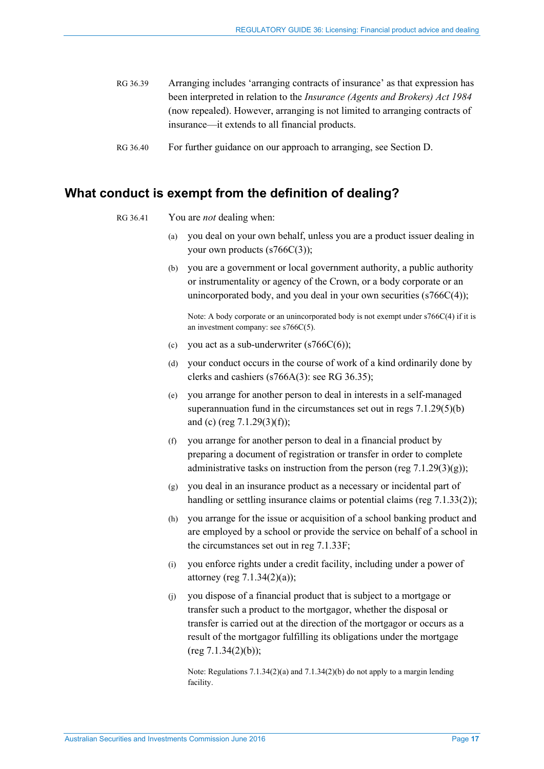- RG 36.39 Arranging includes 'arranging contracts of insurance' as that expression has been interpreted in relation to the *Insurance (Agents and Brokers) Act 1984* (now repealed). However, arranging is not limited to arranging contracts of insurance—it extends to all financial products.
- <span id="page-16-1"></span>RG 36.40 For further guidance on our approach to arranging, see Section [D.](#page-18-0)

## <span id="page-16-2"></span><span id="page-16-0"></span>**What conduct is exempt from the definition of dealing?**

- RG 36.41 You are *not* dealing when:
	- (a) you deal on your own behalf, unless you are a product issuer dealing in your own products (s766C(3));
		- (b) you are a government or local government authority, a public authority or instrumentality or agency of the Crown, or a body corporate or an unincorporated body, and you deal in your own securities (s766C(4));

Note: A body corporate or an unincorporated body is not exempt under s766C(4) if it is an investment company: see s766C(5).

- (c) you act as a sub-underwriter  $(s766C(6))$ ;
- (d) your conduct occurs in the course of work of a kind ordinarily done by clerks and cashiers (s766A(3): see RG [36.35\)](#page-13-0);
- (e) you arrange for another person to deal in interests in a self-managed superannuation fund in the circumstances set out in regs  $7.1.29(5)(b)$ and (c) (reg 7.1.29(3)(f));
- (f) you arrange for another person to deal in a financial product by preparing a document of registration or transfer in order to complete administrative tasks on instruction from the person (reg  $7.1.29(3)(g)$ );
- (g) you deal in an insurance product as a necessary or incidental part of handling or settling insurance claims or potential claims (reg 7.1.33(2));
- (h) you arrange for the issue or acquisition of a school banking product and are employed by a school or provide the service on behalf of a school in the circumstances set out in reg 7.1.33F;
- (i) you enforce rights under a credit facility, including under a power of attorney (reg  $7.1.34(2)(a)$ );
- (j) you dispose of a financial product that is subject to a mortgage or transfer such a product to the mortgagor, whether the disposal or transfer is carried out at the direction of the mortgagor or occurs as a result of the mortgagor fulfilling its obligations under the mortgage  $(\text{reg } 7.1.34(2)(b));$

Note: Regulations 7.1.34(2)(a) and 7.1.34(2)(b) do not apply to a margin lending facility.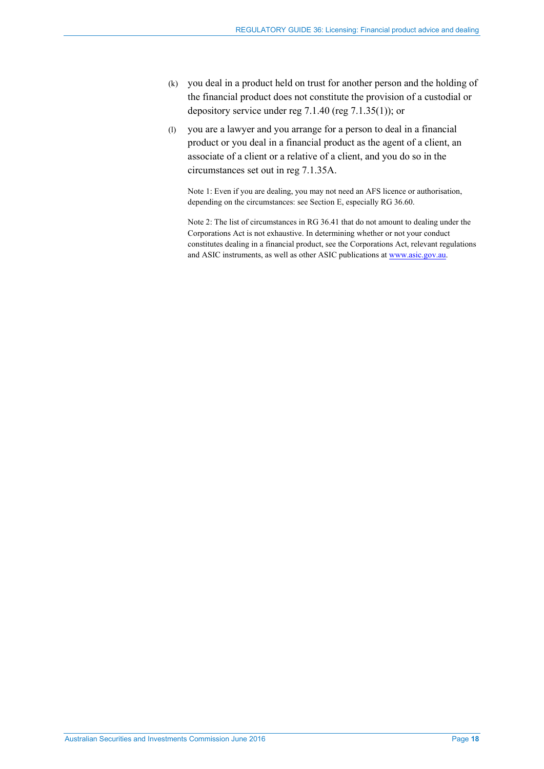- (k) you deal in a product held on trust for another person and the holding of the financial product does not constitute the provision of a custodial or depository service under reg 7.1.40 (reg 7.1.35(1)); or
- (l) you are a lawyer and you arrange for a person to deal in a financial product or you deal in a financial product as the agent of a client, an associate of a client or a relative of a client, and you do so in the circumstances set out in reg 7.1.35A.

Note 1: Even if you are dealing, you may not need an AFS licence or authorisation, depending on the circumstances: see Sectio[n E,](#page-25-0) especiall[y RG 36.60.](#page-26-3) 

Note 2: The list of circumstances in [RG 36.41](#page-16-2) that do not amount to dealing under the Corporations Act is not exhaustive. In determining whether or not your conduct constitutes dealing in a financial product, see the Corporations Act, relevant regulations and ASIC instruments, as well as other ASIC publications at [www.asic.gov.au.](http://www.asic.gov.au/)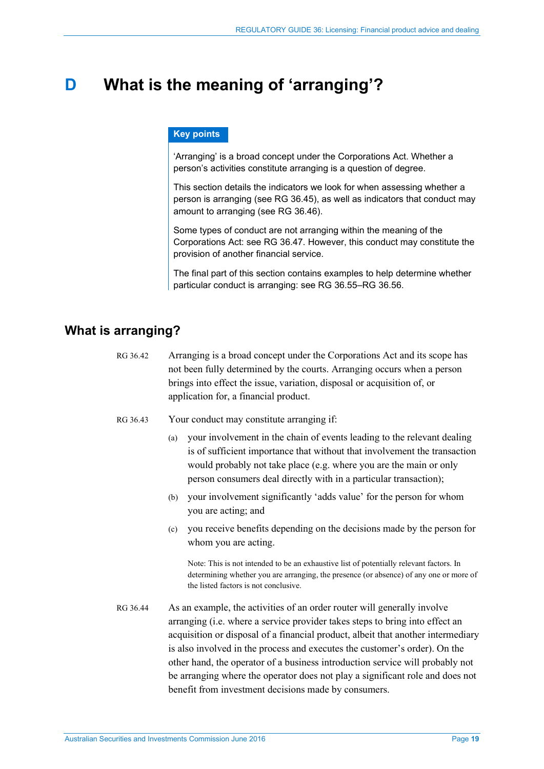# <span id="page-18-0"></span>**D What is the meaning of 'arranging'?**

#### **Key points**

'Arranging' is a broad concept under the Corporations Act. Whether a person's activities constitute arranging is a question of degree.

This section details the indicators we look for when assessing whether a person is arranging (see RG [36.45\)](#page-19-1), as well as indicators that conduct may amount to arranging (see RG [36.46\)](#page-19-2).

Some types of conduct are not arranging within the meaning of the Corporations Act: see RG [36.47.](#page-19-3) However, this conduct may constitute the provision of another financial service.

The final part of this section contains examples to help determine whether particular conduct is arranging: see RG [36.55–](#page-21-1)RG [36.56.](#page-23-0)

# <span id="page-18-1"></span>**What is arranging?**

- RG 36.42 Arranging is a broad concept under the Corporations Act and its scope has not been fully determined by the courts. Arranging occurs when a person brings into effect the issue, variation, disposal or acquisition of, or application for, a financial product.
- RG 36.43 Your conduct may constitute arranging if:
	- (a) your involvement in the chain of events leading to the relevant dealing is of sufficient importance that without that involvement the transaction would probably not take place (e.g. where you are the main or only person consumers deal directly with in a particular transaction);
	- (b) your involvement significantly 'adds value' for the person for whom you are acting; and
	- (c) you receive benefits depending on the decisions made by the person for whom you are acting.

Note: This is not intended to be an exhaustive list of potentially relevant factors. In determining whether you are arranging, the presence (or absence) of any one or more of the listed factors is not conclusive.

RG 36.44 As an example, the activities of an order router will generally involve arranging (i.e. where a service provider takes steps to bring into effect an acquisition or disposal of a financial product, albeit that another intermediary is also involved in the process and executes the customer's order). On the other hand, the operator of a business introduction service will probably not be arranging where the operator does not play a significant role and does not benefit from investment decisions made by consumers.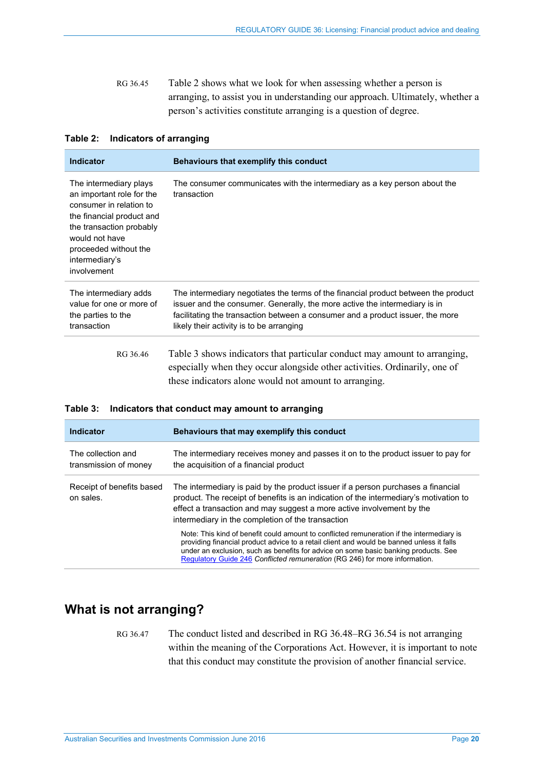<span id="page-19-1"></span>RG 36.45 [Table 2](#page-19-4) shows what we look for when assessing whether a person is arranging, to assist you in understanding our approach. Ultimately, whether a person's activities constitute arranging is a question of degree.

| <b>Indicator</b>                                                                                                                                                                                                                                                                                                | Behaviours that exemplify this conduct                                                                                                                                                                                                                                                         |  |
|-----------------------------------------------------------------------------------------------------------------------------------------------------------------------------------------------------------------------------------------------------------------------------------------------------------------|------------------------------------------------------------------------------------------------------------------------------------------------------------------------------------------------------------------------------------------------------------------------------------------------|--|
| The intermediary plays<br>The consumer communicates with the intermediary as a key person about the<br>an important role for the<br>transaction<br>consumer in relation to<br>the financial product and<br>the transaction probably<br>would not have<br>proceeded without the<br>intermediary's<br>involvement |                                                                                                                                                                                                                                                                                                |  |
| The intermediary adds<br>value for one or more of<br>the parties to the<br>transaction                                                                                                                                                                                                                          | The intermediary negotiates the terms of the financial product between the product<br>issuer and the consumer. Generally, the more active the intermediary is in<br>facilitating the transaction between a consumer and a product issuer, the more<br>likely their activity is to be arranging |  |
| RG 36.46                                                                                                                                                                                                                                                                                                        | Table 3 shows indicators that particular conduct may amount to arranging,<br>especially when they occur alongside other activities. Ordinarily, one of<br>these indicators alone would not amount to arranging.                                                                                |  |

#### <span id="page-19-4"></span>**Table 2: Indicators of arranging**

<span id="page-19-5"></span><span id="page-19-2"></span>

|  |  |  | Table 3: Indicators that conduct may amount to arranging |  |
|--|--|--|----------------------------------------------------------|--|
|--|--|--|----------------------------------------------------------|--|

| Indicator                                   | Behaviours that may exemplify this conduct                                                                                                                                                                                                                                                                                                                   |  |
|---------------------------------------------|--------------------------------------------------------------------------------------------------------------------------------------------------------------------------------------------------------------------------------------------------------------------------------------------------------------------------------------------------------------|--|
| The collection and<br>transmission of money | The intermediary receives money and passes it on to the product issuer to pay for<br>the acquisition of a financial product                                                                                                                                                                                                                                  |  |
| Receipt of benefits based<br>on sales.      | The intermediary is paid by the product issuer if a person purchases a financial<br>product. The receipt of benefits is an indication of the intermediary's motivation to<br>effect a transaction and may suggest a more active involvement by the<br>intermediary in the completion of the transaction                                                      |  |
|                                             | Note: This kind of benefit could amount to conflicted remuneration if the intermediary is<br>providing financial product advice to a retail client and would be banned unless it falls<br>under an exclusion, such as benefits for advice on some basic banking products. See<br>Regulatory Guide 246 Conflicted remuneration (RG 246) for more information. |  |

# <span id="page-19-3"></span><span id="page-19-0"></span>**What is not arranging?**

RG 36.47 The conduct listed and described in [RG 36.48](#page-20-0)[–RG 36.54](#page-21-2) is not arranging within the meaning of the Corporations Act. However, it is important to note that this conduct may constitute the provision of another financial service.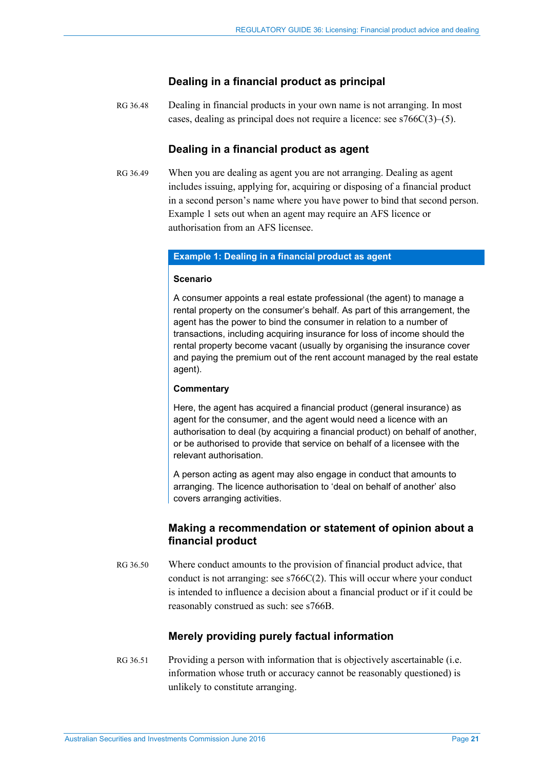## **Dealing in a financial product as principal**

<span id="page-20-0"></span>RG 36.48 Dealing in financial products in your own name is not arranging. In most cases, dealing as principal does not require a licence: see s766C(3)–(5).

## **Dealing in a financial product as agent**

RG 36.49 When you are dealing as agent you are not arranging. Dealing as agent includes issuing, applying for, acquiring or disposing of a financial product in a second person's name where you have power to bind that second person. Example 1 sets out when an agent may require an AFS licence or authorisation from an AFS licensee.

#### **Example 1: Dealing in a financial product as agent**

#### **Scenario**

A consumer appoints a real estate professional (the agent) to manage a rental property on the consumer's behalf. As part of this arrangement, the agent has the power to bind the consumer in relation to a number of transactions, including acquiring insurance for loss of income should the rental property become vacant (usually by organising the insurance cover and paying the premium out of the rent account managed by the real estate agent).

#### **Commentary**

Here, the agent has acquired a financial product (general insurance) as agent for the consumer, and the agent would need a licence with an authorisation to deal (by acquiring a financial product) on behalf of another, or be authorised to provide that service on behalf of a licensee with the relevant authorisation.

A person acting as agent may also engage in conduct that amounts to arranging. The licence authorisation to 'deal on behalf of another' also covers arranging activities.

## **Making a recommendation or statement of opinion about a financial product**

RG 36.50 Where conduct amounts to the provision of financial product advice, that conduct is not arranging: see s766C(2). This will occur where your conduct is intended to influence a decision about a financial product or if it could be reasonably construed as such: see s766B.

# **Merely providing purely factual information**

RG 36.51 Providing a person with information that is objectively ascertainable (i.e. information whose truth or accuracy cannot be reasonably questioned) is unlikely to constitute arranging.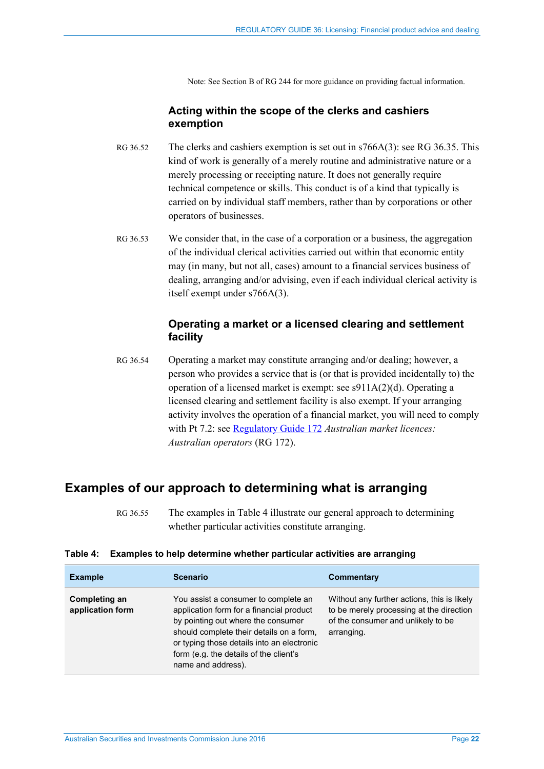Note: See Section B of RG 244 for more guidance on providing factual information.

## **Acting within the scope of the clerks and cashiers exemption**

- RG 36.52 The clerks and cashiers exemption is set out in s766A(3): see [RG 36.35.](#page-13-0) This kind of work is generally of a merely routine and administrative nature or a merely processing or receipting nature. It does not generally require technical competence or skills. This conduct is of a kind that typically is carried on by individual staff members, rather than by corporations or other operators of businesses.
- RG 36.53 We consider that, in the case of a corporation or a business, the aggregation of the individual clerical activities carried out within that economic entity may (in many, but not all, cases) amount to a financial services business of dealing, arranging and/or advising, even if each individual clerical activity is itself exempt under s766A(3).

## **Operating a market or a licensed clearing and settlement facility**

<span id="page-21-2"></span>RG 36.54 Operating a market may constitute arranging and/or dealing; however, a person who provides a service that is (or that is provided incidentally to) the operation of a licensed market is exempt: see s911A(2)(d). Operating a licensed clearing and settlement facility is also exempt. If your arranging activity involves the operation of a financial market, you will need to comply with Pt 7.2: see [Regulatory Guide 172](http://www.asic.gov.au/regulatory-resources/find-a-document/regulatory-guides/rg-172-australian-market-licences-australian-operators/) *Australian market licences: Australian operators* (RG 172).

# <span id="page-21-1"></span><span id="page-21-0"></span>**Examples of our approach to determining what is arranging**

RG 36.55 The examples i[n Table 4](#page-21-3) illustrate our general approach to determining whether particular activities constitute arranging.

| <b>Example</b>                    | <b>Scenario</b>                                                                                                                                                                                                                                                                  | Commentary                                                                                                                                  |
|-----------------------------------|----------------------------------------------------------------------------------------------------------------------------------------------------------------------------------------------------------------------------------------------------------------------------------|---------------------------------------------------------------------------------------------------------------------------------------------|
| Completing an<br>application form | You assist a consumer to complete an<br>application form for a financial product<br>by pointing out where the consumer<br>should complete their details on a form,<br>or typing those details into an electronic<br>form (e.g. the details of the client's<br>name and address). | Without any further actions, this is likely<br>to be merely processing at the direction<br>of the consumer and unlikely to be<br>arranging. |

#### <span id="page-21-3"></span>**Table 4: Examples to help determine whether particular activities are arranging**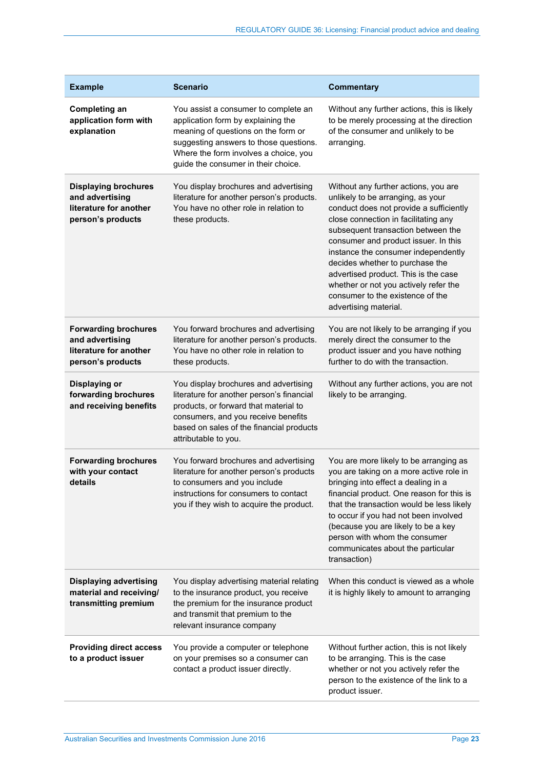| <b>Example</b>                                                                                | <b>Scenario</b>                                                                                                                                                                                                                             | <b>Commentary</b>                                                                                                                                                                                                                                                                                                                                                                                                                                                  |
|-----------------------------------------------------------------------------------------------|---------------------------------------------------------------------------------------------------------------------------------------------------------------------------------------------------------------------------------------------|--------------------------------------------------------------------------------------------------------------------------------------------------------------------------------------------------------------------------------------------------------------------------------------------------------------------------------------------------------------------------------------------------------------------------------------------------------------------|
| <b>Completing an</b><br>application form with<br>explanation                                  | You assist a consumer to complete an<br>application form by explaining the<br>meaning of questions on the form or<br>suggesting answers to those questions.<br>Where the form involves a choice, you<br>guide the consumer in their choice. | Without any further actions, this is likely<br>to be merely processing at the direction<br>of the consumer and unlikely to be<br>arranging.                                                                                                                                                                                                                                                                                                                        |
| <b>Displaying brochures</b><br>and advertising<br>literature for another<br>person's products | You display brochures and advertising<br>literature for another person's products.<br>You have no other role in relation to<br>these products.                                                                                              | Without any further actions, you are<br>unlikely to be arranging, as your<br>conduct does not provide a sufficiently<br>close connection in facilitating any<br>subsequent transaction between the<br>consumer and product issuer. In this<br>instance the consumer independently<br>decides whether to purchase the<br>advertised product. This is the case<br>whether or not you actively refer the<br>consumer to the existence of the<br>advertising material. |
| <b>Forwarding brochures</b><br>and advertising<br>literature for another<br>person's products | You forward brochures and advertising<br>literature for another person's products.<br>You have no other role in relation to<br>these products.                                                                                              | You are not likely to be arranging if you<br>merely direct the consumer to the<br>product issuer and you have nothing<br>further to do with the transaction.                                                                                                                                                                                                                                                                                                       |
| Displaying or<br>forwarding brochures<br>and receiving benefits                               | You display brochures and advertising<br>literature for another person's financial<br>products, or forward that material to<br>consumers, and you receive benefits<br>based on sales of the financial products<br>attributable to you.      | Without any further actions, you are not<br>likely to be arranging.                                                                                                                                                                                                                                                                                                                                                                                                |
| <b>Forwarding brochures</b><br>with your contact<br>details                                   | You forward brochures and advertising<br>literature for another person's products<br>to consumers and you include<br>instructions for consumers to contact<br>you if they wish to acquire the product.                                      | You are more likely to be arranging as<br>you are taking on a more active role in<br>bringing into effect a dealing in a<br>financial product. One reason for this is<br>that the transaction would be less likely<br>to occur if you had not been involved<br>(because you are likely to be a key<br>person with whom the consumer<br>communicates about the particular<br>transaction)                                                                           |
| <b>Displaying advertising</b><br>material and receiving/<br>transmitting premium              | You display advertising material relating<br>to the insurance product, you receive<br>the premium for the insurance product<br>and transmit that premium to the<br>relevant insurance company                                               | When this conduct is viewed as a whole<br>it is highly likely to amount to arranging                                                                                                                                                                                                                                                                                                                                                                               |
| <b>Providing direct access</b><br>to a product issuer                                         | You provide a computer or telephone<br>on your premises so a consumer can<br>contact a product issuer directly.                                                                                                                             | Without further action, this is not likely<br>to be arranging. This is the case<br>whether or not you actively refer the<br>person to the existence of the link to a<br>product issuer.                                                                                                                                                                                                                                                                            |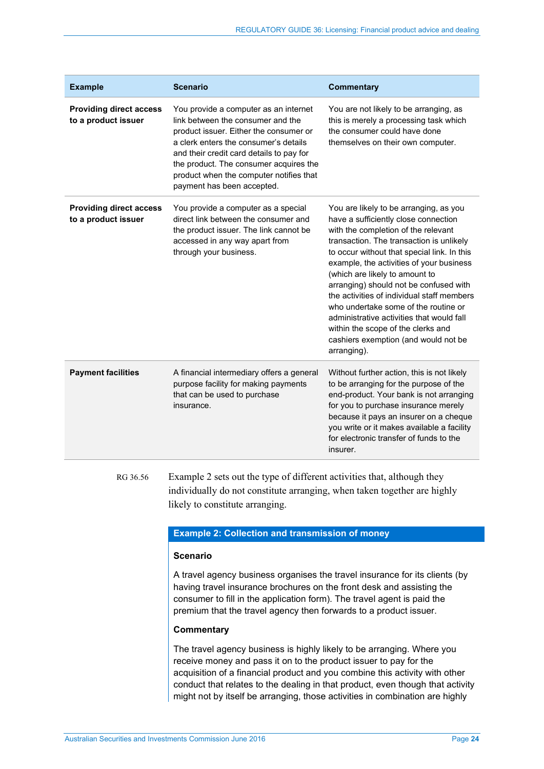| <b>Example</b>                                        | <b>Scenario</b>                                                                                                                                                                                                                                                                                                              | <b>Commentary</b>                                                                                                                                                                                                                                                                                                                                                                                                                                                                                                                                                        |
|-------------------------------------------------------|------------------------------------------------------------------------------------------------------------------------------------------------------------------------------------------------------------------------------------------------------------------------------------------------------------------------------|--------------------------------------------------------------------------------------------------------------------------------------------------------------------------------------------------------------------------------------------------------------------------------------------------------------------------------------------------------------------------------------------------------------------------------------------------------------------------------------------------------------------------------------------------------------------------|
| <b>Providing direct access</b><br>to a product issuer | You provide a computer as an internet<br>link between the consumer and the<br>product issuer. Either the consumer or<br>a clerk enters the consumer's details<br>and their credit card details to pay for<br>the product. The consumer acquires the<br>product when the computer notifies that<br>payment has been accepted. | You are not likely to be arranging, as<br>this is merely a processing task which<br>the consumer could have done<br>themselves on their own computer.                                                                                                                                                                                                                                                                                                                                                                                                                    |
| <b>Providing direct access</b><br>to a product issuer | You provide a computer as a special<br>direct link between the consumer and<br>the product issuer. The link cannot be<br>accessed in any way apart from<br>through your business.                                                                                                                                            | You are likely to be arranging, as you<br>have a sufficiently close connection<br>with the completion of the relevant<br>transaction. The transaction is unlikely<br>to occur without that special link. In this<br>example, the activities of your business<br>(which are likely to amount to<br>arranging) should not be confused with<br>the activities of individual staff members<br>who undertake some of the routine or<br>administrative activities that would fall<br>within the scope of the clerks and<br>cashiers exemption (and would not be<br>arranging). |
| <b>Payment facilities</b>                             | A financial intermediary offers a general<br>purpose facility for making payments<br>that can be used to purchase<br>insurance.                                                                                                                                                                                              | Without further action, this is not likely<br>to be arranging for the purpose of the<br>end-product. Your bank is not arranging<br>for you to purchase insurance merely<br>because it pays an insurer on a cheque<br>you write or it makes available a facility<br>for electronic transfer of funds to the<br>insurer.                                                                                                                                                                                                                                                   |

<span id="page-23-0"></span>RG 36.56 Example 2 sets out the type of different activities that, although they individually do not constitute arranging, when taken together are highly likely to constitute arranging.

### **Example 2: Collection and transmission of money**

#### **Scenario**

A travel agency business organises the travel insurance for its clients (by having travel insurance brochures on the front desk and assisting the consumer to fill in the application form). The travel agent is paid the premium that the travel agency then forwards to a product issuer.

#### **Commentary**

The travel agency business is highly likely to be arranging. Where you receive money and pass it on to the product issuer to pay for the acquisition of a financial product and you combine this activity with other conduct that relates to the dealing in that product, even though that activity might not by itself be arranging, those activities in combination are highly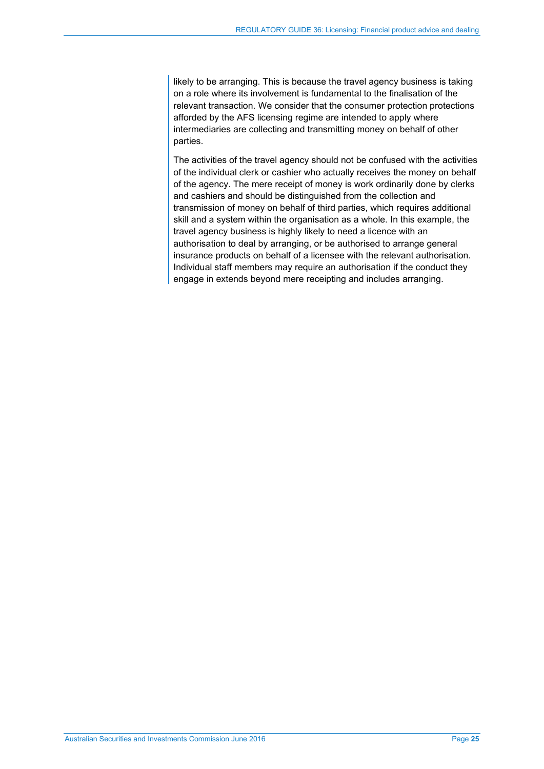likely to be arranging. This is because the travel agency business is taking on a role where its involvement is fundamental to the finalisation of the relevant transaction. We consider that the consumer protection protections afforded by the AFS licensing regime are intended to apply where intermediaries are collecting and transmitting money on behalf of other parties.

The activities of the travel agency should not be confused with the activities of the individual clerk or cashier who actually receives the money on behalf of the agency. The mere receipt of money is work ordinarily done by clerks and cashiers and should be distinguished from the collection and transmission of money on behalf of third parties, which requires additional skill and a system within the organisation as a whole. In this example, the travel agency business is highly likely to need a licence with an authorisation to deal by arranging, or be authorised to arrange general insurance products on behalf of a licensee with the relevant authorisation. Individual staff members may require an authorisation if the conduct they engage in extends beyond mere receipting and includes arranging.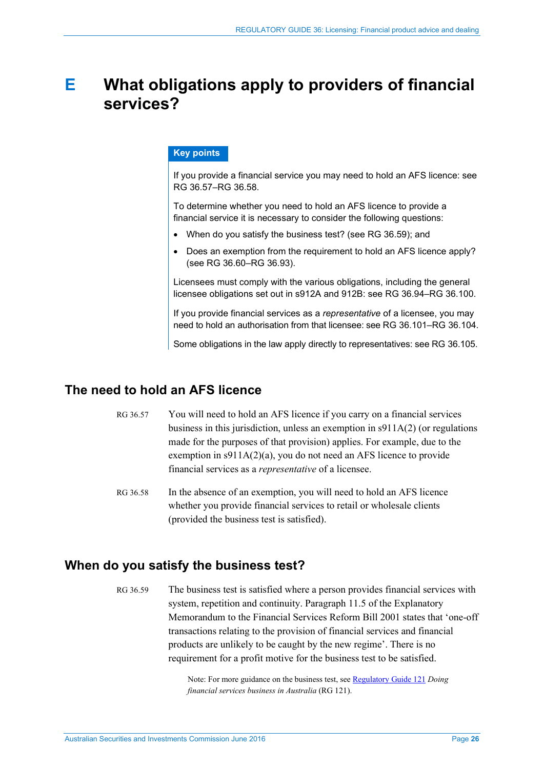# <span id="page-25-0"></span>**E What obligations apply to providers of financial services?**

## **Key points**

If you provide a financial service you may need to hold an AFS licence: see RG [36.57–](#page-25-4)RG [36.58.](#page-25-5)

To determine whether you need to hold an AFS licence to provide a financial service it is necessary to consider the following questions:

- When do you satisfy the business test? (see RG [36.59\)](#page-25-3); and
- Does an exemption from the requirement to hold an AFS licence apply? (see RG [36.60–](#page-26-3)RG [36.93\)](#page-32-1).

Licensees must comply with the various obligations, including the general licensee obligations set out in s912A and 912B: see RG [36.94–](#page-32-2)RG [36.100.](#page-34-1)

If you provide financial services as a *representative* of a licensee, you may need to hold an authorisation from that licensee: see RG [36.101–](#page-35-1)RG [36.104.](#page-35-2)

Some obligations in the law apply directly to representatives: see RG [36.105.](#page-36-1) 

# <span id="page-25-4"></span><span id="page-25-1"></span>**The need to hold an AFS licence**

- RG 36.57 You will need to hold an AFS licence if you carry on a financial services business in this jurisdiction, unless an exemption in  $\frac{911A(2)}{2}$  (or regulations made for the purposes of that provision) applies. For example, due to the exemption in s911A(2)(a), you do not need an AFS licence to provide financial services as a *representative* of a licensee.
- <span id="page-25-5"></span>RG 36.58 In the absence of an exemption, you will need to hold an AFS licence whether you provide financial services to retail or wholesale clients (provided the business test is satisfied).

# <span id="page-25-3"></span><span id="page-25-2"></span>**When do you satisfy the business test?**

RG 36.59 The business test is satisfied where a person provides financial services with system, repetition and continuity. Paragraph 11.5 of the Explanatory Memorandum to the Financial Services Reform Bill 2001 states that 'one-off transactions relating to the provision of financial services and financial products are unlikely to be caught by the new regime'. There is no requirement for a profit motive for the business test to be satisfied.

> Note: For more guidance on the business test, see [Regulatory Guide 121](http://www.asic.gov.au/regulatory-resources/find-a-document/regulatory-guides/rg-121-doing-financial-services-business-in-australia/) *Doing financial services business in Australia* (RG 121).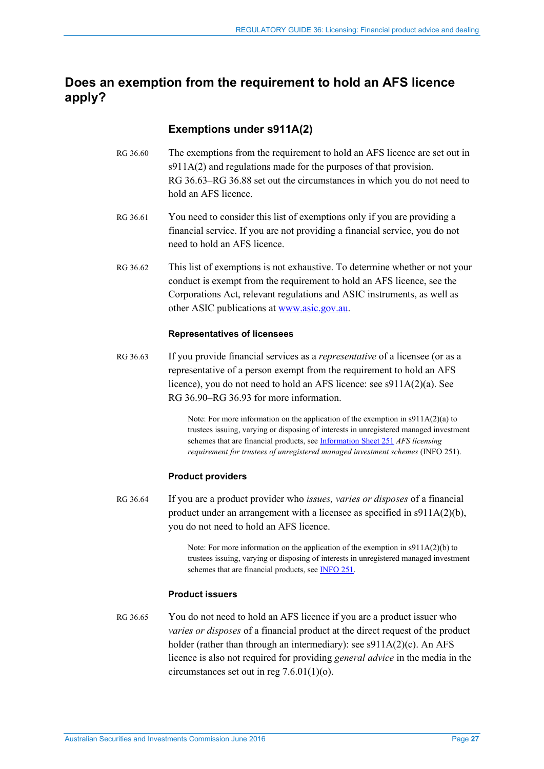# <span id="page-26-2"></span>**Does an exemption from the requirement to hold an AFS licence apply?**

# **Exemptions under s911A(2)**

- <span id="page-26-3"></span>RG 36.60 The exemptions from the requirement to hold an AFS licence are set out in s911A(2) and regulations made for the purposes of that provision. [RG 36.63](#page-26-0)[–RG 36.88](#page-31-0) set out the circumstances in which you do not need to hold an AFS licence.
- RG 36.61 You need to consider this list of exemptions only if you are providing a financial service. If you are not providing a financial service, you do not need to hold an AFS licence.
- RG 36.62 This list of exemptions is not exhaustive. To determine whether or not your conduct is exempt from the requirement to hold an AFS licence, see the Corporations Act, relevant regulations and ASIC instruments, as well as other ASIC publications at [www.asic.gov.au.](http://www.asic.gov.au/)

#### **Representatives of licensees**

<span id="page-26-0"></span>RG 36.63 If you provide financial services as a *representative* of a licensee (or as a representative of a person exempt from the requirement to hold an AFS licence), you do not need to hold an AFS licence: see s911A(2)(a). See [RG 36.90](#page-31-1)[–RG 36.93](#page-32-1) for more information.

> Note: For more information on the application of the exemption in s911A(2)(a) to trustees issuing, varying or disposing of interests in unregistered managed investment schemes that are financial products, se[e Information Sheet 251](http://asic.gov.au/for-finance-professionals/afs-licensees/applying-for-and-managing-an-afs-licence/licensing-certain-service-providers/afs-licensing-requirement-for-trustees-of-unregistered-managed-investment-schemes/) *AFS licensing requirement for trustees of unregistered managed investment schemes* (INFO 251).

#### **Product providers**

<span id="page-26-1"></span>RG 36.64 If you are a product provider who *issues, varies or disposes* of a financial product under an arrangement with a licensee as specified in s911A(2)(b), you do not need to hold an AFS licence.

> Note: For more information on the application of the exemption in s911A(2)(b) to trustees issuing, varying or disposing of interests in unregistered managed investment schemes that are financial products, se[e INFO 251.](http://asic.gov.au/for-finance-professionals/afs-licensees/applying-for-and-managing-an-afs-licence/licensing-certain-service-providers/afs-licensing-requirement-for-trustees-of-unregistered-managed-investment-schemes/)

#### **Product issuers**

RG 36.65 You do not need to hold an AFS licence if you are a product issuer who *varies or disposes* of a financial product at the direct request of the product holder (rather than through an intermediary): see s911A(2)(c). An AFS licence is also not required for providing *general advice* in the media in the circumstances set out in reg 7.6.01(1)(o).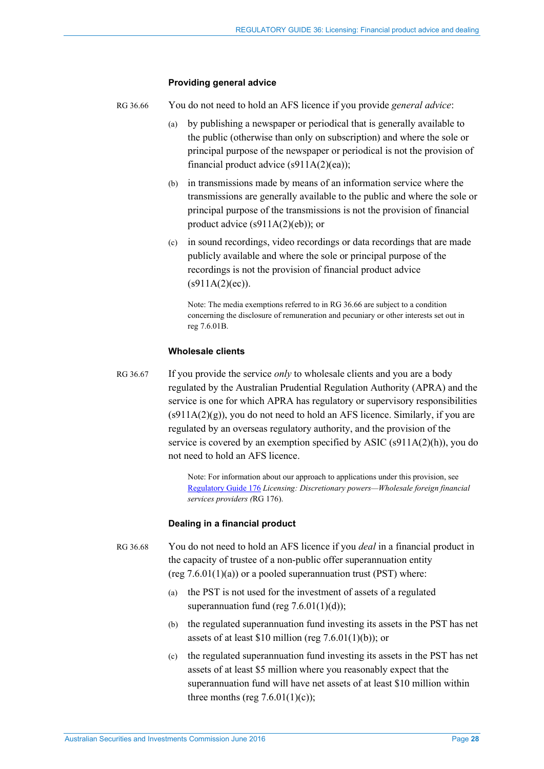#### **Providing general advice**

<span id="page-27-0"></span>RG 36.66 You do not need to hold an AFS licence if you provide *general advice*:

- (a) by publishing a newspaper or periodical that is generally available to the public (otherwise than only on subscription) and where the sole or principal purpose of the newspaper or periodical is not the provision of financial product advice  $(s911A(2)(ea))$ ;
- (b) in transmissions made by means of an information service where the transmissions are generally available to the public and where the sole or principal purpose of the transmissions is not the provision of financial product advice (s911A(2)(eb)); or
- (c) in sound recordings, video recordings or data recordings that are made publicly available and where the sole or principal purpose of the recordings is not the provision of financial product advice  $(s911A(2)(ec)).$

Note: The media exemptions referred to i[n RG 36.66](#page-27-0) are subject to a condition concerning the disclosure of remuneration and pecuniary or other interests set out in reg 7.6.01B.

#### **Wholesale clients**

RG 36.67 If you provide the service *only* to wholesale clients and you are a body regulated by the Australian Prudential Regulation Authority (APRA) and the service is one for which APRA has regulatory or supervisory responsibilities  $(s911A(2)(g))$ , you do not need to hold an AFS licence. Similarly, if you are regulated by an overseas regulatory authority, and the provision of the service is covered by an exemption specified by ASIC (s911A(2)(h)), you do not need to hold an AFS licence.

> Note: For information about our approach to applications under this provision, see [Regulatory Guide 176](http://www.asic.gov.au/regulatory-resources/find-a-document/regulatory-guides/rg-176-foreign-financial-services-providers/) *Licensing: Discretionary powers—Wholesale foreign financial services providers (*RG 176).

#### **Dealing in a financial product**

RG 36.68 You do not need to hold an AFS licence if you *deal* in a financial product in the capacity of trustee of a non-public offer superannuation entity (reg  $7.6.01(1)(a)$ ) or a pooled superannuation trust (PST) where:

- (a) the PST is not used for the investment of assets of a regulated superannuation fund (reg  $7.6.01(1)(d)$ );
- (b) the regulated superannuation fund investing its assets in the PST has net assets of at least \$10 million (reg  $7.6.01(1)(b)$ ); or
- (c) the regulated superannuation fund investing its assets in the PST has net assets of at least \$5 million where you reasonably expect that the superannuation fund will have net assets of at least \$10 million within three months (reg  $7.6.01(1)(c)$ );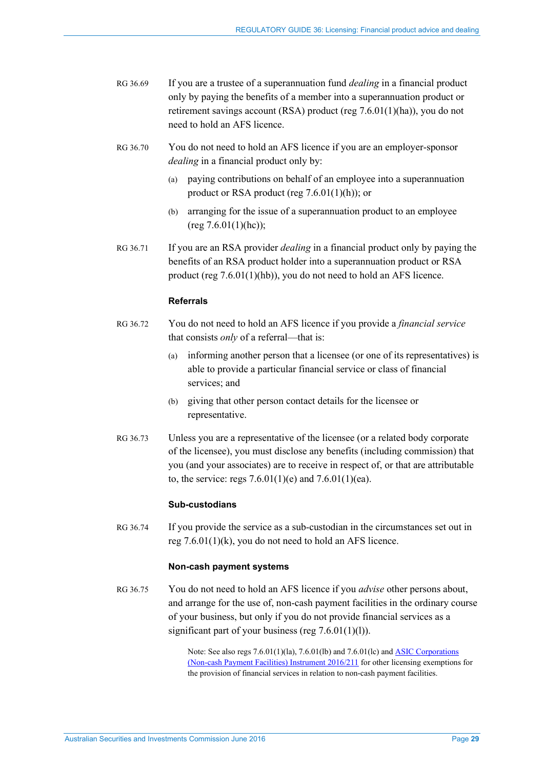- RG 36.69 If you are a trustee of a superannuation fund *dealing* in a financial product only by paying the benefits of a member into a superannuation product or retirement savings account (RSA) product (reg 7.6.01(1)(ha)), you do not need to hold an AFS licence.
- RG 36.70 You do not need to hold an AFS licence if you are an employer-sponsor *dealing* in a financial product only by:
	- (a) paying contributions on behalf of an employee into a superannuation product or RSA product (reg 7.6.01(1)(h)); or
	- (b) arranging for the issue of a superannuation product to an employee  $(\text{reg } 7.6.01(1)(\text{hc}))$ ;
- RG 36.71 If you are an RSA provider *dealing* in a financial product only by paying the benefits of an RSA product holder into a superannuation product or RSA product (reg 7.6.01(1)(hb)), you do not need to hold an AFS licence.

#### **Referrals**

- RG 36.72 You do not need to hold an AFS licence if you provide a *financial service* that consists *only* of a referral—that is:
	- (a) informing another person that a licensee (or one of its representatives) is able to provide a particular financial service or class of financial services; and
	- (b) giving that other person contact details for the licensee or representative.
- RG 36.73 Unless you are a representative of the licensee (or a related body corporate of the licensee), you must disclose any benefits (including commission) that you (and your associates) are to receive in respect of, or that are attributable to, the service: regs  $7.6.01(1)(e)$  and  $7.6.01(1)(ea)$ .

#### **Sub-custodians**

RG 36.74 If you provide the service as a sub-custodian in the circumstances set out in reg 7.6.01(1)(k), you do not need to hold an AFS licence.

#### **Non-cash payment systems**

RG 36.75 You do not need to hold an AFS licence if you *advise* other persons about, and arrange for the use of, non-cash payment facilities in the ordinary course of your business, but only if you do not provide financial services as a significant part of your business (reg  $7.6.01(1)(1)$ ).

> Note: See also regs 7.6.01(1)(la), 7.6.01(lb) and 7.6.01(lc) an[d ASIC Corporations](https://www.legislation.gov.au/Details/F2016L00367)  [\(Non-cash Payment Facilities\) Instrument 2016/211](https://www.legislation.gov.au/Details/F2016L00367) for other licensing exemptions for the provision of financial services in relation to non-cash payment facilities.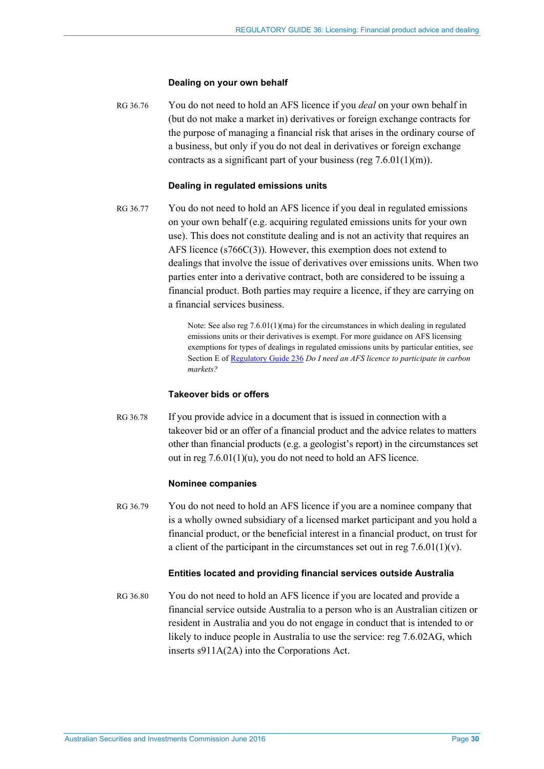#### **Dealing on your own behalf**

RG 36.76 You do not need to hold an AFS licence if you *deal* on your own behalf in (but do not make a market in) derivatives or foreign exchange contracts for the purpose of managing a financial risk that arises in the ordinary course of a business, but only if you do not deal in derivatives or foreign exchange contracts as a significant part of your business (reg  $7.6.01(1)(m)$ ).

#### **Dealing in regulated emissions units**

RG 36.77 You do not need to hold an AFS licence if you deal in regulated emissions on your own behalf (e.g. acquiring regulated emissions units for your own use). This does not constitute dealing and is not an activity that requires an AFS licence (s766C(3)). However, this exemption does not extend to dealings that involve the issue of derivatives over emissions units. When two parties enter into a derivative contract, both are considered to be issuing a financial product. Both parties may require a licence, if they are carrying on a financial services business.

> Note: See also reg 7.6.01(1)(ma) for the circumstances in which dealing in regulated emissions units or their derivatives is exempt. For more guidance on AFS licensing exemptions for types of dealings in regulated emissions units by particular entities, see Section E o[f Regulatory Guide 236](http://www.asic.gov.au/regulatory-resources/find-a-document/regulatory-guides/rg-236-do-i-need-an-afs-licence-to-participate-in-carbon-markets/) *Do I need an AFS licence to participate in carbon markets?*

#### **Takeover bids or offers**

RG 36.78 If you provide advice in a document that is issued in connection with a takeover bid or an offer of a financial product and the advice relates to matters other than financial products (e.g. a geologist's report) in the circumstances set out in reg 7.6.01(1)(u), you do not need to hold an AFS licence.

#### **Nominee companies**

RG 36.79 You do not need to hold an AFS licence if you are a nominee company that is a wholly owned subsidiary of a licensed market participant and you hold a financial product, or the beneficial interest in a financial product, on trust for a client of the participant in the circumstances set out in reg  $7.6.01(1)(v)$ .

#### **Entities located and providing financial services outside Australia**

RG 36.80 You do not need to hold an AFS licence if you are located and provide a financial service outside Australia to a person who is an Australian citizen or resident in Australia and you do not engage in conduct that is intended to or likely to induce people in Australia to use the service: reg 7.6.02AG, which inserts s911A(2A) into the Corporations Act.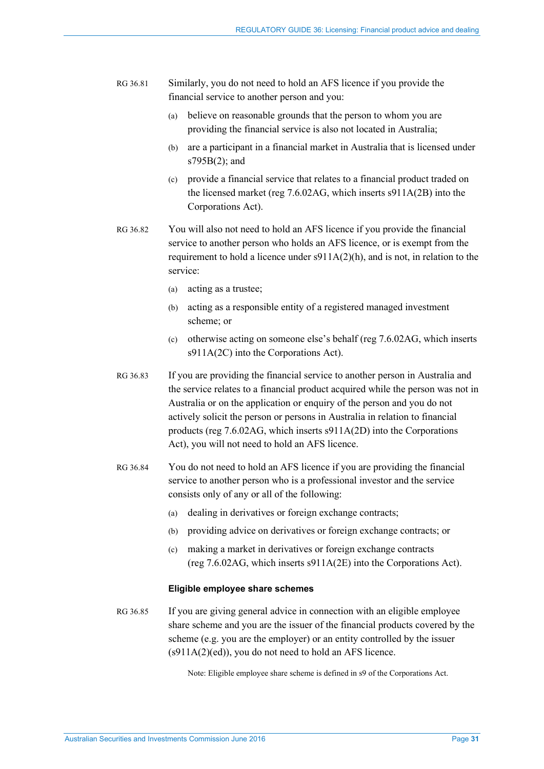RG 36.81 Similarly, you do not need to hold an AFS licence if you provide the financial service to another person and you:

- (a) believe on reasonable grounds that the person to whom you are providing the financial service is also not located in Australia;
- (b) are a participant in a financial market in Australia that is licensed under s795B(2); and
- (c) provide a financial service that relates to a financial product traded on the licensed market (reg 7.6.02AG, which inserts s911A(2B) into the Corporations Act).
- RG 36.82 You will also not need to hold an AFS licence if you provide the financial service to another person who holds an AFS licence, or is exempt from the requirement to hold a licence under  $s911A(2)(h)$ , and is not, in relation to the service:
	- (a) acting as a trustee;
	- (b) acting as a responsible entity of a registered managed investment scheme; or
	- (c) otherwise acting on someone else's behalf (reg 7.6.02AG, which inserts s911A(2C) into the Corporations Act).
- RG 36.83 If you are providing the financial service to another person in Australia and the service relates to a financial product acquired while the person was not in Australia or on the application or enquiry of the person and you do not actively solicit the person or persons in Australia in relation to financial products (reg 7.6.02AG, which inserts s911A(2D) into the Corporations Act), you will not need to hold an AFS licence.
- RG 36.84 You do not need to hold an AFS licence if you are providing the financial service to another person who is a professional investor and the service consists only of any or all of the following:
	- (a) dealing in derivatives or foreign exchange contracts;
	- (b) providing advice on derivatives or foreign exchange contracts; or
	- (c) making a market in derivatives or foreign exchange contracts (reg 7.6.02AG, which inserts s911A(2E) into the Corporations Act).

#### **Eligible employee share schemes**

RG 36.85 If you are giving general advice in connection with an eligible employee share scheme and you are the issuer of the financial products covered by the scheme (e.g. you are the employer) or an entity controlled by the issuer (s911A(2)(ed)), you do not need to hold an AFS licence.

Note: Eligible employee share scheme is defined in s9 of the Corporations Act.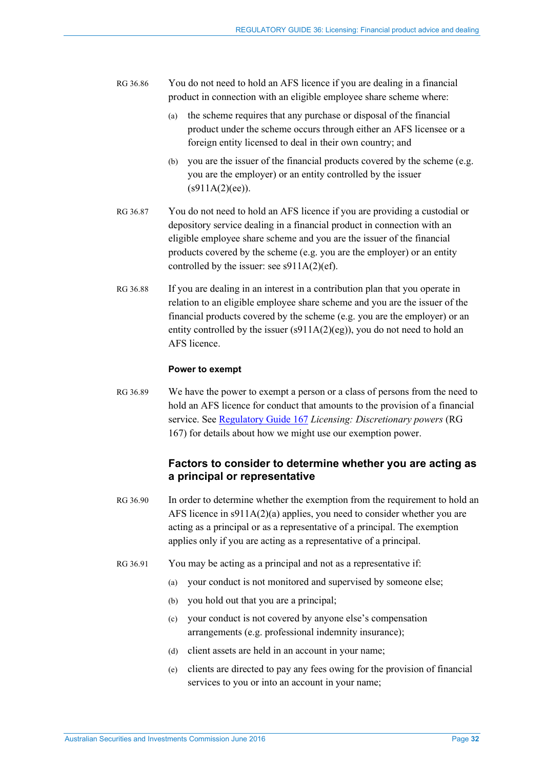- RG 36.86 You do not need to hold an AFS licence if you are dealing in a financial product in connection with an eligible employee share scheme where:
	- (a) the scheme requires that any purchase or disposal of the financial product under the scheme occurs through either an AFS licensee or a foreign entity licensed to deal in their own country; and
	- (b) you are the issuer of the financial products covered by the scheme (e.g. you are the employer) or an entity controlled by the issuer  $(s911A(2)(ee)).$
- RG 36.87 You do not need to hold an AFS licence if you are providing a custodial or depository service dealing in a financial product in connection with an eligible employee share scheme and you are the issuer of the financial products covered by the scheme (e.g. you are the employer) or an entity controlled by the issuer: see s911A(2)(ef).
- <span id="page-31-0"></span>RG 36.88 If you are dealing in an interest in a contribution plan that you operate in relation to an eligible employee share scheme and you are the issuer of the financial products covered by the scheme (e.g. you are the employer) or an entity controlled by the issuer (s911A(2)(eg)), you do not need to hold an AFS licence.

#### **Power to exempt**

RG 36.89 We have the power to exempt a person or a class of persons from the need to hold an AFS licence for conduct that amounts to the provision of a financial service. See [Regulatory Guide 167](http://www.asic.gov.au/regulatory-resources/find-a-document/regulatory-guides/rg-167-licensing-discretionary-powers/) *Licensing: Discretionary powers* (RG 167) for details about how we might use our exemption power.

## **Factors to consider to determine whether you are acting as a principal or representative**

- <span id="page-31-1"></span>RG 36.90 In order to determine whether the exemption from the requirement to hold an AFS licence in s911A(2)(a) applies, you need to consider whether you are acting as a principal or as a representative of a principal. The exemption applies only if you are acting as a representative of a principal.
- RG 36.91 You may be acting as a principal and not as a representative if:
	- (a) your conduct is not monitored and supervised by someone else;
	- (b) you hold out that you are a principal;
	- (c) your conduct is not covered by anyone else's compensation arrangements (e.g. professional indemnity insurance);
	- (d) client assets are held in an account in your name;
	- (e) clients are directed to pay any fees owing for the provision of financial services to you or into an account in your name;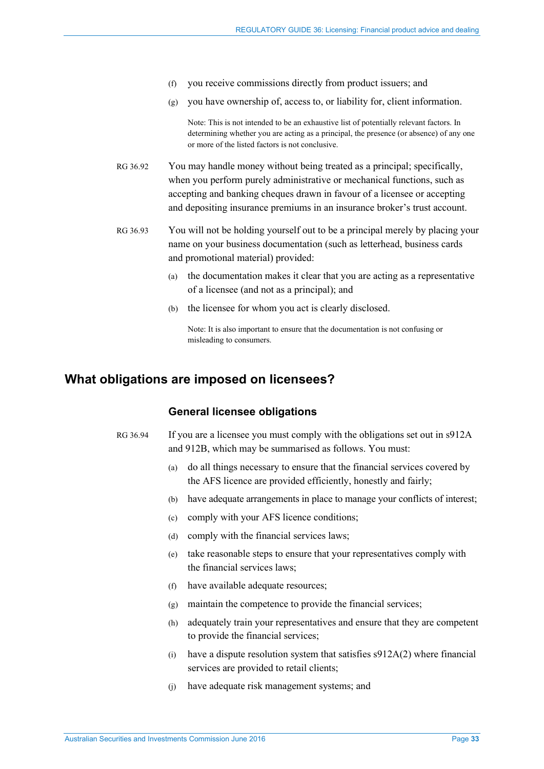- (f) you receive commissions directly from product issuers; and
- (g) you have ownership of, access to, or liability for, client information.

Note: This is not intended to be an exhaustive list of potentially relevant factors. In determining whether you are acting as a principal, the presence (or absence) of any one or more of the listed factors is not conclusive.

- RG 36.92 You may handle money without being treated as a principal; specifically, when you perform purely administrative or mechanical functions, such as accepting and banking cheques drawn in favour of a licensee or accepting and depositing insurance premiums in an insurance broker's trust account.
- <span id="page-32-1"></span>RG 36.93 You will not be holding yourself out to be a principal merely by placing your name on your business documentation (such as letterhead, business cards and promotional material) provided:
	- (a) the documentation makes it clear that you are acting as a representative of a licensee (and not as a principal); and
	- (b) the licensee for whom you act is clearly disclosed.

Note: It is also important to ensure that the documentation is not confusing or misleading to consumers.

# <span id="page-32-2"></span><span id="page-32-0"></span>**What obligations are imposed on licensees?**

#### **General licensee obligations**

- <span id="page-32-4"></span><span id="page-32-3"></span>RG 36.94 If you are a licensee you must comply with the obligations set out in s912A and 912B, which may be summarised as follows. You must:
	- (a) do all things necessary to ensure that the financial services covered by the AFS licence are provided efficiently, honestly and fairly;
	- (b) have adequate arrangements in place to manage your conflicts of interest;
	- (c) comply with your AFS licence conditions;
	- (d) comply with the financial services laws;
	- (e) take reasonable steps to ensure that your representatives comply with the financial services laws;
	- (f) have available adequate resources;
	- (g) maintain the competence to provide the financial services;
	- (h) adequately train your representatives and ensure that they are competent to provide the financial services;
	- (i) have a dispute resolution system that satisfies  $s912A(2)$  where financial services are provided to retail clients;
	- (j) have adequate risk management systems; and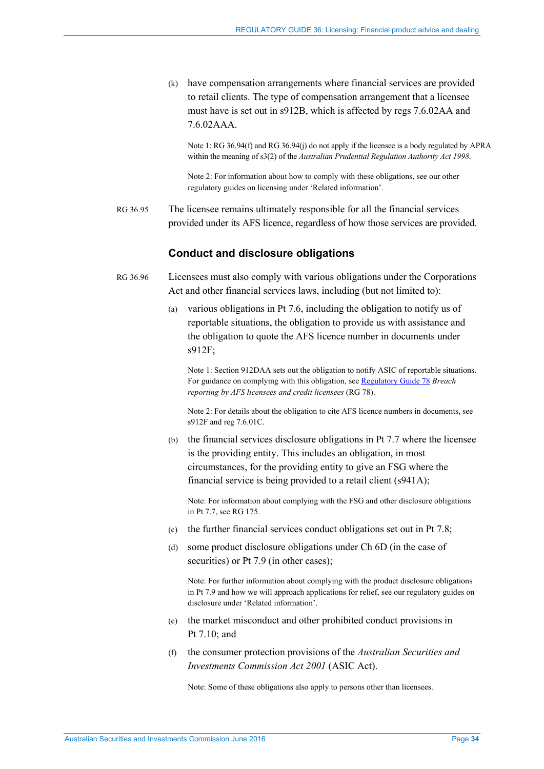(k) have compensation arrangements where financial services are provided to retail clients. The type of compensation arrangement that a licensee must have is set out in s912B, which is affected by regs 7.6.02AA and 7.6.02AAA.

Note 1: RG [36.94\(f\)](#page-32-3) an[d RG 36.94\(j\)](#page-32-4) do not apply if the licensee is a body regulated by APRA within the meaning of s3(2) of the *Australian Prudential Regulation Authority Act 1998*.

Note 2: For information about how to comply with these obligations, see our other regulatory guides on licensing under 'Related information'.

RG 36.95 The licensee remains ultimately responsible for all the financial services provided under its AFS licence, regardless of how those services are provided.

## **Conduct and disclosure obligations**

- <span id="page-33-0"></span>RG 36.96 Licensees must also comply with various obligations under the Corporations Act and other financial services laws, including (but not limited to):
	- (a) various obligations in Pt 7.6, including the obligation to notify us of reportable situations, the obligation to provide us with assistance and the obligation to quote the AFS licence number in documents under s912F;

Note 1: Section 912DAA sets out the obligation to notify ASIC of reportable situations. For guidance on complying with this obligation, se[e Regulatory Guide 78](http://www.asic.gov.au/regulatory-resources/find-a-document/regulatory-guides/rg-78-breach-reporting-by-afs-licensees/) *Breach reporting by AFS licensees and credit licensees* (RG 78).

Note 2: For details about the obligation to cite AFS licence numbers in documents, see s912F and reg 7.6.01C.

(b) the financial services disclosure obligations in Pt 7.7 where the licensee is the providing entity. This includes an obligation, in most circumstances, for the providing entity to give an FSG where the financial service is being provided to a retail client (s941A);

Note: For information about complying with the FSG and other disclosure obligations in Pt 7.7, see RG 175.

- (c) the further financial services conduct obligations set out in Pt 7.8;
- (d) some product disclosure obligations under Ch 6D (in the case of securities) or Pt 7.9 (in other cases);

Note: For further information about complying with the product disclosure obligations in Pt 7.9 and how we will approach applications for relief, see our regulatory guides on disclosure under 'Related information'.

- (e) the market misconduct and other prohibited conduct provisions in Pt 7.10; and
- (f) the consumer protection provisions of the *Australian Securities and Investments Commission Act 2001* (ASIC Act).

Note: Some of these obligations also apply to persons other than licensees.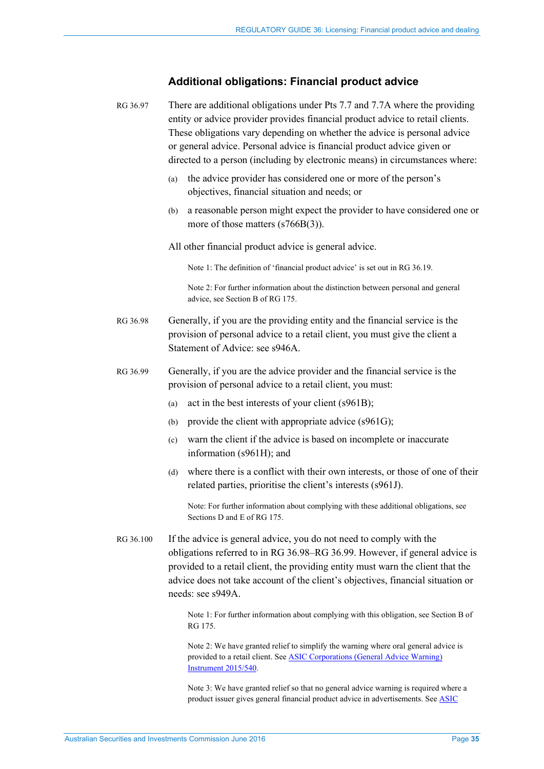# **Additional obligations: Financial product advice**

<span id="page-34-3"></span><span id="page-34-2"></span><span id="page-34-0"></span>

|  | RG 36.97  | There are additional obligations under Pts 7.7 and 7.7A where the providing<br>entity or advice provider provides financial product advice to retail clients.<br>These obligations vary depending on whether the advice is personal advice<br>or general advice. Personal advice is financial product advice given or<br>directed to a person (including by electronic means) in circumstances where: |  |  |
|--|-----------|-------------------------------------------------------------------------------------------------------------------------------------------------------------------------------------------------------------------------------------------------------------------------------------------------------------------------------------------------------------------------------------------------------|--|--|
|  |           | the advice provider has considered one or more of the person's<br>(a)<br>objectives, financial situation and needs; or                                                                                                                                                                                                                                                                                |  |  |
|  |           | a reasonable person might expect the provider to have considered one or<br>(b)<br>more of those matters $(s766B(3))$ .                                                                                                                                                                                                                                                                                |  |  |
|  |           | All other financial product advice is general advice.                                                                                                                                                                                                                                                                                                                                                 |  |  |
|  |           | Note 1: The definition of 'financial product advice' is set out in RG 36.19.                                                                                                                                                                                                                                                                                                                          |  |  |
|  |           | Note 2: For further information about the distinction between personal and general<br>advice, see Section B of RG 175.                                                                                                                                                                                                                                                                                |  |  |
|  | RG 36.98  | Generally, if you are the providing entity and the financial service is the<br>provision of personal advice to a retail client, you must give the client a<br>Statement of Advice: see s946A.                                                                                                                                                                                                         |  |  |
|  | RG 36.99  | Generally, if you are the advice provider and the financial service is the<br>provision of personal advice to a retail client, you must:                                                                                                                                                                                                                                                              |  |  |
|  |           | act in the best interests of your client (s961B);<br>(a)                                                                                                                                                                                                                                                                                                                                              |  |  |
|  |           | provide the client with appropriate advice (s961G);<br>(b)                                                                                                                                                                                                                                                                                                                                            |  |  |
|  |           | warn the client if the advice is based on incomplete or inaccurate<br>(c)<br>information (s961H); and                                                                                                                                                                                                                                                                                                 |  |  |
|  |           | where there is a conflict with their own interests, or those of one of their<br>(d)<br>related parties, prioritise the client's interests (s961J).                                                                                                                                                                                                                                                    |  |  |
|  |           | Note: For further information about complying with these additional obligations, see<br>Sections D and E of RG 175.                                                                                                                                                                                                                                                                                   |  |  |
|  | RG 36.100 | If the advice is general advice, you do not need to comply with the<br>obligations referred to in RG 36.98-RG 36.99. However, if general advice is<br>provided to a retail client, the providing entity must warn the client that the<br>advice does not take account of the client's objectives, financial situation or<br>needs: see s949A.                                                         |  |  |
|  |           | Note 1: For further information about complying with this obligation, see Section B of<br>RG 175.                                                                                                                                                                                                                                                                                                     |  |  |
|  |           | Note 2: We have granted relief to simplify the warning where oral general advice is                                                                                                                                                                                                                                                                                                                   |  |  |

<span id="page-34-1"></span>provided to a retail client. See [ASIC Corporations \(General Advice Warning\)](https://www.legislation.gov.au/Details/F2015L01307)  **[Instrument 2015/540.](https://www.legislation.gov.au/Details/F2015L01307)** 

Note 3: We have granted relief so that no general advice warning is required where a product issuer gives general financial product advice in advertisements. Se[e ASIC](https://www.legislation.gov.au/Details/F2015L01306)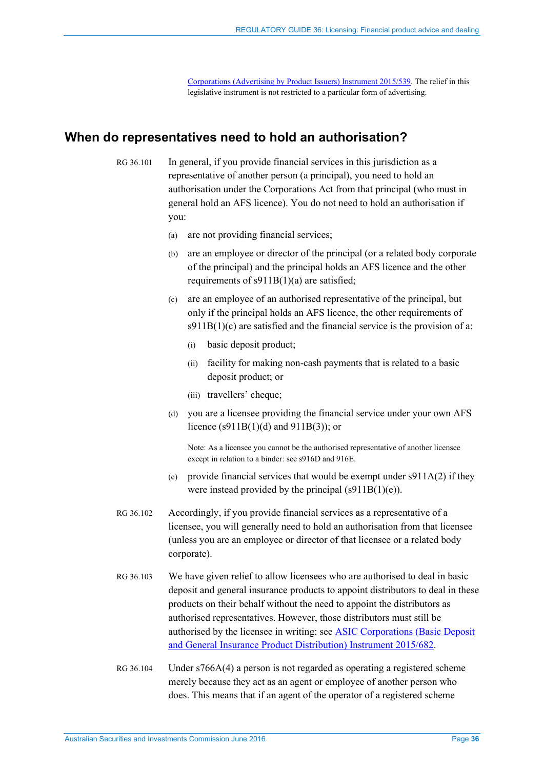[Corporations \(Advertising by Product Issuers\) Instrument 2015/539.](https://www.legislation.gov.au/Details/F2015L01306) The relief in this legislative instrument is not restricted to a particular form of advertising.

# <span id="page-35-1"></span><span id="page-35-0"></span>**When do representatives need to hold an authorisation?**

RG 36.101 In general, if you provide financial services in this jurisdiction as a representative of another person (a principal), you need to hold an authorisation under the Corporations Act from that principal (who must in general hold an AFS licence). You do not need to hold an authorisation if you:

- (a) are not providing financial services;
- (b) are an employee or director of the principal (or a related body corporate of the principal) and the principal holds an AFS licence and the other requirements of s911B(1)(a) are satisfied;
- (c) are an employee of an authorised representative of the principal, but only if the principal holds an AFS licence, the other requirements of  $s911B(1)(c)$  are satisfied and the financial service is the provision of a:
	- (i) basic deposit product;
	- (ii) facility for making non-cash payments that is related to a basic deposit product; or
	- (iii) travellers' cheque;
- (d) you are a licensee providing the financial service under your own AFS licence (s911B(1)(d) and 911B(3)); or

Note: As a licensee you cannot be the authorised representative of another licensee except in relation to a binder: see s916D and 916E.

- (e) provide financial services that would be exempt under  $s911A(2)$  if they were instead provided by the principal  $(s911B(1)(e))$ .
- RG 36.102 Accordingly, if you provide financial services as a representative of a licensee, you will generally need to hold an authorisation from that licensee (unless you are an employee or director of that licensee or a related body corporate).
- RG 36.103 We have given relief to allow licensees who are authorised to deal in basic deposit and general insurance products to appoint distributors to deal in these products on their behalf without the need to appoint the distributors as authorised representatives. However, those distributors must still be authorised by the licensee in writing: se[e ASIC Corporations \(Basic Deposit](https://www.legislation.gov.au/Details/F2015L01184)  [and General Insurance Product Distribution\) Instrument 2015/682.](https://www.legislation.gov.au/Details/F2015L01184)
- <span id="page-35-2"></span>RG 36.104 Under s766A(4) a person is not regarded as operating a registered scheme merely because they act as an agent or employee of another person who does. This means that if an agent of the operator of a registered scheme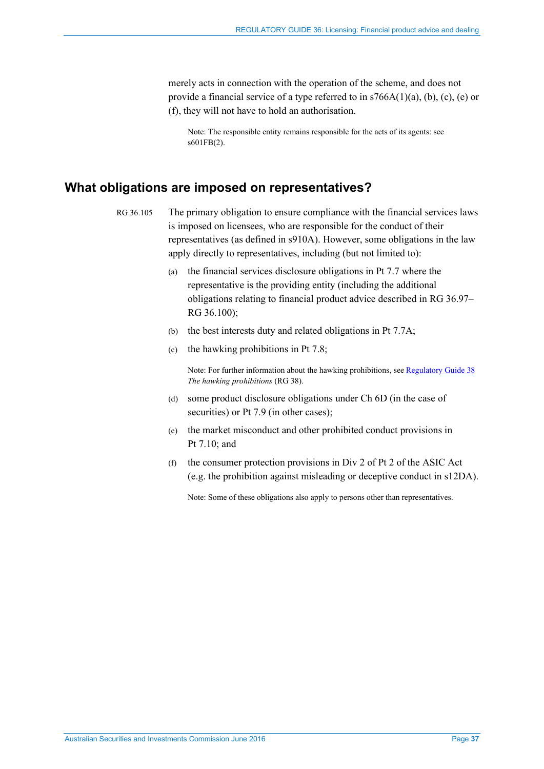merely acts in connection with the operation of the scheme, and does not provide a financial service of a type referred to in s766A(1)(a), (b), (c), (e) or (f), they will not have to hold an authorisation.

Note: The responsible entity remains responsible for the acts of its agents: see s601FB(2).

# <span id="page-36-1"></span><span id="page-36-0"></span>**What obligations are imposed on representatives?**

- RG 36.105 The primary obligation to ensure compliance with the financial services laws is imposed on licensees, who are responsible for the conduct of their representatives (as defined in s910A). However, some obligations in the law apply directly to representatives, including (but not limited to):
	- (a) the financial services disclosure obligations in Pt 7.7 where the representative is the providing entity (including the additional obligations relating to financial product advice described in [RG 36.97–](#page-34-0) [RG 36.100\)](#page-34-1);
	- (b) the best interests duty and related obligations in Pt 7.7A;
	- (c) the hawking prohibitions in Pt 7.8;

Note: For further information about the hawking prohibitions, se[e Regulatory Guide 38](http://www.asic.gov.au/regulatory-resources/find-a-document/regulatory-guides/rg-38-the-hawking-provisions/) *The hawking prohibitions* (RG 38).

- (d) some product disclosure obligations under Ch 6D (in the case of securities) or Pt 7.9 (in other cases);
- (e) the market misconduct and other prohibited conduct provisions in Pt 7.10; and
- (f) the consumer protection provisions in Div 2 of Pt 2 of the ASIC Act (e.g. the prohibition against misleading or deceptive conduct in s12DA).

Note: Some of these obligations also apply to persons other than representatives.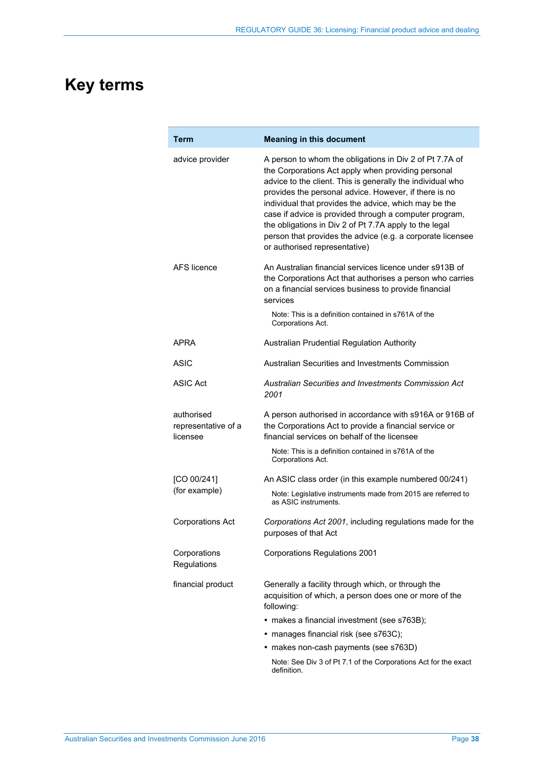# <span id="page-37-0"></span>**Key terms**

| Term                                          | <b>Meaning in this document</b>                                                                                                                                                                                                                                                                                                                                                                                                                                                                                  |
|-----------------------------------------------|------------------------------------------------------------------------------------------------------------------------------------------------------------------------------------------------------------------------------------------------------------------------------------------------------------------------------------------------------------------------------------------------------------------------------------------------------------------------------------------------------------------|
| advice provider                               | A person to whom the obligations in Div 2 of Pt 7.7A of<br>the Corporations Act apply when providing personal<br>advice to the client. This is generally the individual who<br>provides the personal advice. However, if there is no<br>individual that provides the advice, which may be the<br>case if advice is provided through a computer program,<br>the obligations in Div 2 of Pt 7.7A apply to the legal<br>person that provides the advice (e.g. a corporate licensee<br>or authorised representative) |
| AFS licence                                   | An Australian financial services licence under s913B of<br>the Corporations Act that authorises a person who carries<br>on a financial services business to provide financial<br>services                                                                                                                                                                                                                                                                                                                        |
|                                               | Note: This is a definition contained in s761A of the<br>Corporations Act.                                                                                                                                                                                                                                                                                                                                                                                                                                        |
| APRA                                          | Australian Prudential Regulation Authority                                                                                                                                                                                                                                                                                                                                                                                                                                                                       |
| ASIC                                          | Australian Securities and Investments Commission                                                                                                                                                                                                                                                                                                                                                                                                                                                                 |
| <b>ASIC Act</b>                               | Australian Securities and Investments Commission Act<br>2001                                                                                                                                                                                                                                                                                                                                                                                                                                                     |
| authorised<br>representative of a<br>licensee | A person authorised in accordance with s916A or 916B of<br>the Corporations Act to provide a financial service or<br>financial services on behalf of the licensee                                                                                                                                                                                                                                                                                                                                                |
|                                               | Note: This is a definition contained in s761A of the<br>Corporations Act.                                                                                                                                                                                                                                                                                                                                                                                                                                        |
| [CO 00/241]                                   | An ASIC class order (in this example numbered 00/241)                                                                                                                                                                                                                                                                                                                                                                                                                                                            |
| (for example)                                 | Note: Legislative instruments made from 2015 are referred to<br>as ASIC instruments.                                                                                                                                                                                                                                                                                                                                                                                                                             |
| <b>Corporations Act</b>                       | Corporations Act 2001, including regulations made for the<br>purposes of that Act                                                                                                                                                                                                                                                                                                                                                                                                                                |
| Corporations<br>Regulations                   | <b>Corporations Regulations 2001</b>                                                                                                                                                                                                                                                                                                                                                                                                                                                                             |
| financial product                             | Generally a facility through which, or through the<br>acquisition of which, a person does one or more of the<br>following:                                                                                                                                                                                                                                                                                                                                                                                       |
|                                               | • makes a financial investment (see s763B);                                                                                                                                                                                                                                                                                                                                                                                                                                                                      |
|                                               | • manages financial risk (see s763C);                                                                                                                                                                                                                                                                                                                                                                                                                                                                            |
|                                               | • makes non-cash payments (see s763D)                                                                                                                                                                                                                                                                                                                                                                                                                                                                            |
|                                               | Note: See Div 3 of Pt 7.1 of the Corporations Act for the exact<br>definition.                                                                                                                                                                                                                                                                                                                                                                                                                                   |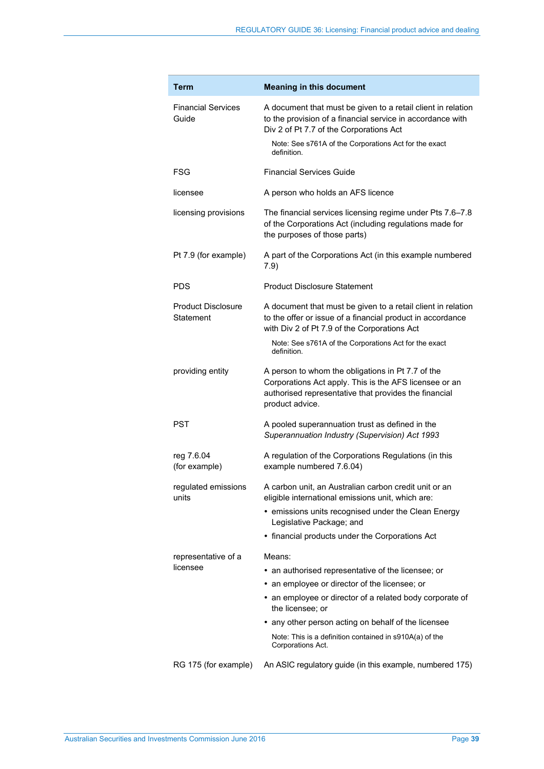| <b>Term</b>                            | <b>Meaning in this document</b>                                                                                                                                                         |
|----------------------------------------|-----------------------------------------------------------------------------------------------------------------------------------------------------------------------------------------|
| <b>Financial Services</b><br>Guide     | A document that must be given to a retail client in relation<br>to the provision of a financial service in accordance with<br>Div 2 of Pt 7.7 of the Corporations Act                   |
|                                        | Note: See s761A of the Corporations Act for the exact<br>definition.                                                                                                                    |
| FSG                                    | <b>Financial Services Guide</b>                                                                                                                                                         |
| licensee                               | A person who holds an AFS licence                                                                                                                                                       |
| licensing provisions                   | The financial services licensing regime under Pts 7.6-7.8<br>of the Corporations Act (including regulations made for<br>the purposes of those parts)                                    |
| Pt 7.9 (for example)                   | A part of the Corporations Act (in this example numbered<br>7.9)                                                                                                                        |
| <b>PDS</b>                             | <b>Product Disclosure Statement</b>                                                                                                                                                     |
| <b>Product Disclosure</b><br>Statement | A document that must be given to a retail client in relation<br>to the offer or issue of a financial product in accordance<br>with Div 2 of Pt 7.9 of the Corporations Act              |
|                                        | Note: See s761A of the Corporations Act for the exact<br>definition.                                                                                                                    |
| providing entity                       | A person to whom the obligations in Pt 7.7 of the<br>Corporations Act apply. This is the AFS licensee or an<br>authorised representative that provides the financial<br>product advice. |
| <b>PST</b>                             | A pooled superannuation trust as defined in the<br>Superannuation Industry (Supervision) Act 1993                                                                                       |
| reg 7.6.04<br>(for example)            | A regulation of the Corporations Regulations (in this<br>example numbered 7.6.04)                                                                                                       |
| regulated emissions<br>units           | A carbon unit, an Australian carbon credit unit or an<br>eligible international emissions unit, which are:                                                                              |
|                                        | • emissions units recognised under the Clean Energy<br>Legislative Package; and                                                                                                         |
|                                        | • financial products under the Corporations Act                                                                                                                                         |
| representative of a                    | Means:                                                                                                                                                                                  |
| licensee                               | • an authorised representative of the licensee; or                                                                                                                                      |
|                                        | an employee or director of the licensee; or                                                                                                                                             |
|                                        | • an employee or director of a related body corporate of<br>the licensee; or                                                                                                            |
|                                        | • any other person acting on behalf of the licensee                                                                                                                                     |
|                                        | Note: This is a definition contained in s910A(a) of the<br>Corporations Act.                                                                                                            |
| RG 175 (for example)                   | An ASIC regulatory guide (in this example, numbered 175)                                                                                                                                |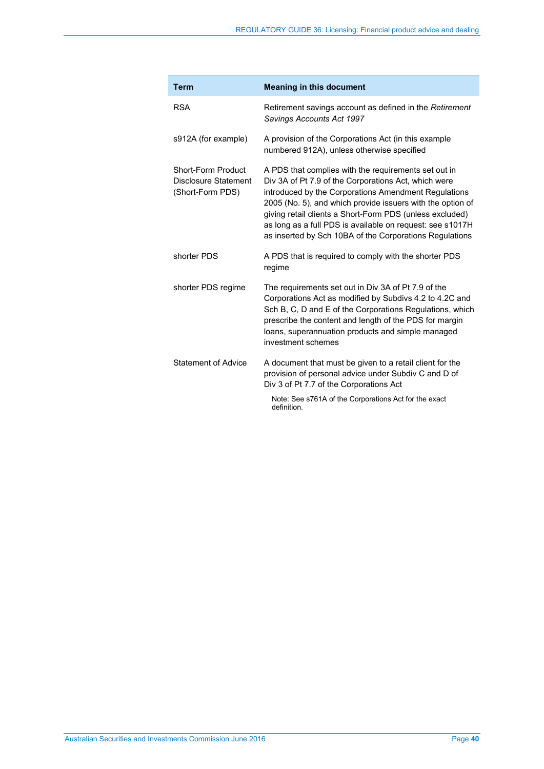| <b>Term</b>                                                                  | <b>Meaning in this document</b>                                                                                                                                                                                                                                                                                                                                                                                        |  |
|------------------------------------------------------------------------------|------------------------------------------------------------------------------------------------------------------------------------------------------------------------------------------------------------------------------------------------------------------------------------------------------------------------------------------------------------------------------------------------------------------------|--|
| <b>RSA</b>                                                                   | Retirement savings account as defined in the Retirement<br>Savings Accounts Act 1997                                                                                                                                                                                                                                                                                                                                   |  |
| s912A (for example)                                                          | A provision of the Corporations Act (in this example<br>numbered 912A), unless otherwise specified                                                                                                                                                                                                                                                                                                                     |  |
| <b>Short-Form Product</b><br><b>Disclosure Statement</b><br>(Short-Form PDS) | A PDS that complies with the requirements set out in<br>Div 3A of Pt 7.9 of the Corporations Act, which were<br>introduced by the Corporations Amendment Regulations<br>2005 (No. 5), and which provide issuers with the option of<br>giving retail clients a Short-Form PDS (unless excluded)<br>as long as a full PDS is available on request: see s1017H<br>as inserted by Sch 10BA of the Corporations Regulations |  |
| shorter PDS                                                                  | A PDS that is required to comply with the shorter PDS<br>regime                                                                                                                                                                                                                                                                                                                                                        |  |
| shorter PDS regime                                                           | The requirements set out in Div 3A of Pt 7.9 of the<br>Corporations Act as modified by Subdivs 4.2 to 4.2C and<br>Sch B, C, D and E of the Corporations Regulations, which<br>prescribe the content and length of the PDS for margin<br>loans, superannuation products and simple managed<br>investment schemes                                                                                                        |  |
| Statement of Advice                                                          | A document that must be given to a retail client for the<br>provision of personal advice under Subdiv C and D of<br>Div 3 of Pt 7.7 of the Corporations Act                                                                                                                                                                                                                                                            |  |
|                                                                              | Note: See s761A of the Corporations Act for the exact<br>definition.                                                                                                                                                                                                                                                                                                                                                   |  |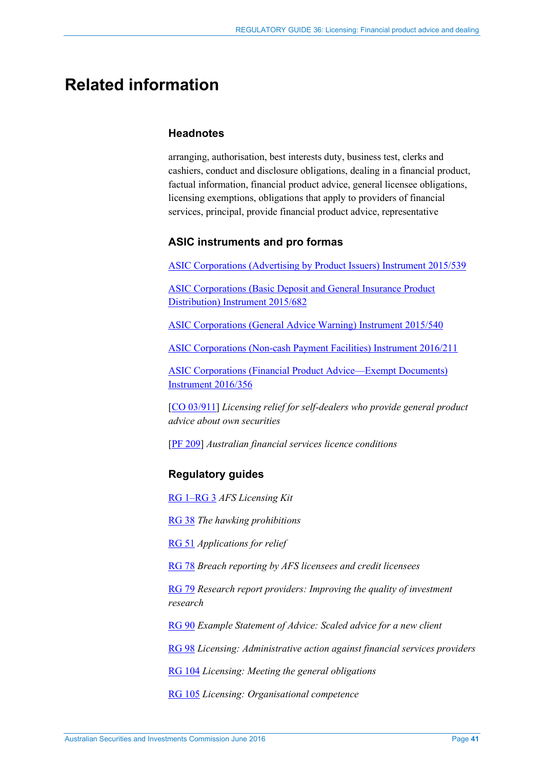# <span id="page-40-0"></span>**Related information**

## **Headnotes**

arranging, authorisation, best interests duty, business test, clerks and cashiers, conduct and disclosure obligations, dealing in a financial product, factual information, financial product advice, general licensee obligations, licensing exemptions, obligations that apply to providers of financial services, principal, provide financial product advice, representative

## **ASIC instruments and pro formas**

[ASIC Corporations \(Advertising by Product Issuers\) Instrument 2015/539](https://www.legislation.gov.au/Details/F2015L01306)

[ASIC Corporations \(Basic Deposit and General Insurance Product](https://www.legislation.gov.au/Details/F2015L01184)  [Distribution\) Instrument 2015/682](https://www.legislation.gov.au/Details/F2015L01184)

[ASIC Corporations \(General Advice Warning\) Instrument 2015/540](https://www.legislation.gov.au/Details/F2015L01307)

[ASIC Corporations \(Non-cash Payment Facilities\) Instrument 2016/211](https://www.legislation.gov.au/Details/F2016L00367) 

[ASIC Corporations \(Financial Product Advice—Exempt Documents\)](http://www.asic.gov.au/regulatory-resources/find-a-document/class-orders/2016-legislative-instruments/)  **[Instrument 2016/356](http://www.asic.gov.au/regulatory-resources/find-a-document/class-orders/2016-legislative-instruments/)** 

[\[CO 03/911\]](https://www.legislation.gov.au/Details/F2007B00377) *Licensing relief for self-dealers who provide general product advice about own securities* 

[\[PF 209\]](http://asic.gov.au/regulatory-resources/find-a-document/pro-formas/) *Australian financial services licence conditions*

# **Regulatory guides**

[RG 1–RG 3](http://www.asic.gov.au/regulatory-resources/find-a-document/?page=25&filter=Regulatory+guide) *AFS Licensing Kit*

[RG 38](http://www.asic.gov.au/regulatory-resources/find-a-document/regulatory-guides/rg-38-the-hawking-provisions/) *The hawking prohibitions* 

[RG 51](http://www.asic.gov.au/regulatory-resources/find-a-document/regulatory-guides/rg-51-applications-for-relief/) *Applications for relief*

[RG 78](http://www.asic.gov.au/regulatory-resources/find-a-document/regulatory-guides/rg-78-breach-reporting-by-afs-licensees/) *Breach reporting by AFS licensees and credit licensees*

[RG 79](http://www.asic.gov.au/regulatory-resources/find-a-document/regulatory-guides/rg-79-research-report-providers-improving-the-quality-of-investment-research/) *Research report providers: Improving the quality of investment research*

[RG 90](http://www.asic.gov.au/regulatory-resources/find-a-document/regulatory-guides/rg-90-example-statement-of-advice-scaled-advice-for-a-new-client/) *Example Statement of Advice: Scaled advice for a new client* 

[RG 98](http://www.asic.gov.au/regulatory-resources/find-a-document/regulatory-guides/rg-98-licensing-administrative-action-against-financial-services-providers/) *Licensing: Administrative action against financial services providers*

[RG 104](http://www.asic.gov.au/regulatory-resources/find-a-document/regulatory-guides/rg-104-licensing-meeting-the-general-obligations/) *Licensing: Meeting the general obligations*

[RG 105](http://www.asic.gov.au/regulatory-resources/find-a-document/regulatory-guides/rg-105-licensing-organisational-competence/) *Licensing: Organisational competence*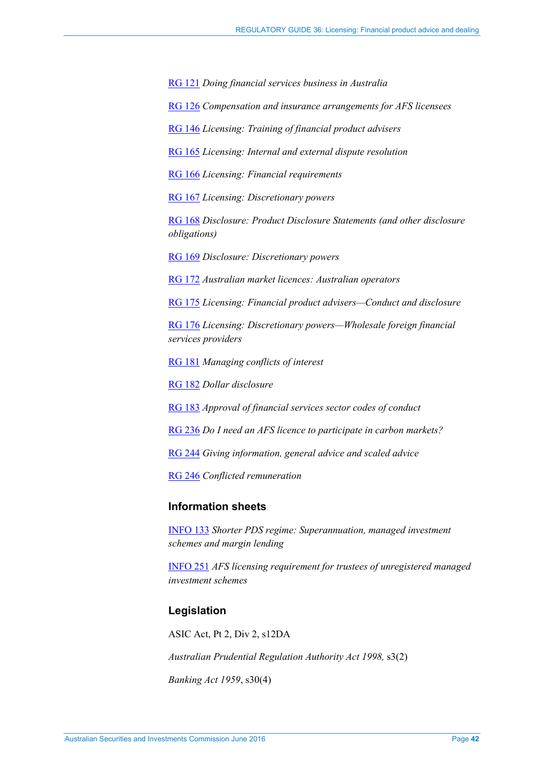[RG 121](http://www.asic.gov.au/regulatory-resources/find-a-document/regulatory-guides/rg-121-doing-financial-services-business-in-australia/) *Doing financial services business in Australia*

[RG 126](http://www.asic.gov.au/regulatory-resources/find-a-document/regulatory-guides/rg-126-compensation-and-insurance-arrangements-for-afs-licensees/) *Compensation and insurance arrangements for AFS licensees*

[RG 146](http://www.asic.gov.au/regulatory-resources/find-a-document/regulatory-guides/rg-146-licensing-training-of-financial-product-advisers/) *Licensing: Training of financial product advisers*

[RG 165](http://www.asic.gov.au/regulatory-resources/find-a-document/regulatory-guides/rg-165-licensing-internal-and-external-dispute-resolution/) *Licensing: Internal and external dispute resolution* 

[RG 166](http://www.asic.gov.au/regulatory-resources/find-a-document/regulatory-guides/rg-166-licensing-financial-requirements/) *Licensing: Financial requirements*

[RG 167](http://www.asic.gov.au/regulatory-resources/find-a-document/regulatory-guides/rg-167-licensing-discretionary-powers/) *Licensing: Discretionary powers* 

[RG 168](http://www.asic.gov.au/regulatory-resources/find-a-document/regulatory-guides/rg-168-disclosure-product-disclosure-statements-and-other-disclosure-obligations/) *Disclosure: Product Disclosure Statements (and other disclosure obligations)* 

[RG 169](http://www.asic.gov.au/regulatory-resources/find-a-document/regulatory-guides/rg-169-disclosure-discretionary-powers/) *Disclosure: Discretionary powers*

[RG 172](http://www.asic.gov.au/regulatory-resources/find-a-document/regulatory-guides/rg-172-australian-market-licences-australian-operators/) *Australian market licences: Australian operators*

[RG 175](http://www.asic.gov.au/regulatory-resources/find-a-document/regulatory-guides/rg-175-licensing-financial-product-advisers-conduct-and-disclosure/) *Licensing: Financial product advisers—Conduct and disclosure* 

[RG 176](http://www.asic.gov.au/regulatory-resources/find-a-document/regulatory-guides/rg-176-foreign-financial-services-providers/) *Licensing: Discretionary powers—Wholesale foreign financial services providers* 

[RG 181](http://www.asic.gov.au/regulatory-resources/find-a-document/regulatory-guides/rg-181-licensing-managing-conflicts-of-interest/) *Managing conflicts of interest*

[RG 182](http://www.asic.gov.au/regulatory-resources/find-a-document/regulatory-guides/rg-182-dollar-disclosure/) *Dollar disclosure*

[RG 183](http://www.asic.gov.au/regulatory-resources/find-a-document/regulatory-guides/rg-183-approval-of-financial-services-sector-codes-of-conduct/) *Approval of financial services sector codes of conduct* 

[RG 236](http://www.asic.gov.au/regulatory-resources/find-a-document/regulatory-guides/rg-236-do-i-need-an-afs-licence-to-participate-in-carbon-markets/) *Do I need an AFS licence to participate in carbon markets?* 

[RG 244](http://www.asic.gov.au/regulatory-resources/find-a-document/regulatory-guides/rg-244-giving-information-general-advice-and-scaled-advice/) *Giving information, general advice and scaled advice* 

[RG 246](http://www.asic.gov.au/regulatory-resources/find-a-document/regulatory-guides/rg-246-conflicted-remuneration/) *Conflicted remuneration*

## **Information sheets**

[INFO 133](http://www.asic.gov.au/regulatory-resources/financial-services/financial-product-disclosure/shorter-pds-regime-superannuation-managed-investment-schemes-and-margin-lending/) *Shorter PDS regime: Superannuation, managed investment schemes and margin lending* 

[INFO 251](http://asic.gov.au/for-finance-professionals/afs-licensees/applying-for-and-managing-an-afs-licence/licensing-certain-service-providers/afs-licensing-requirement-for-trustees-of-unregistered-managed-investment-schemes/) *AFS licensing requirement for trustees of unregistered managed investment schemes*

## **Legislation**

ASIC Act, Pt 2, Div 2, s12DA

*Australian Prudential Regulation Authority Act 1998,* s3(2)

*Banking Act 1959*, s30(4)